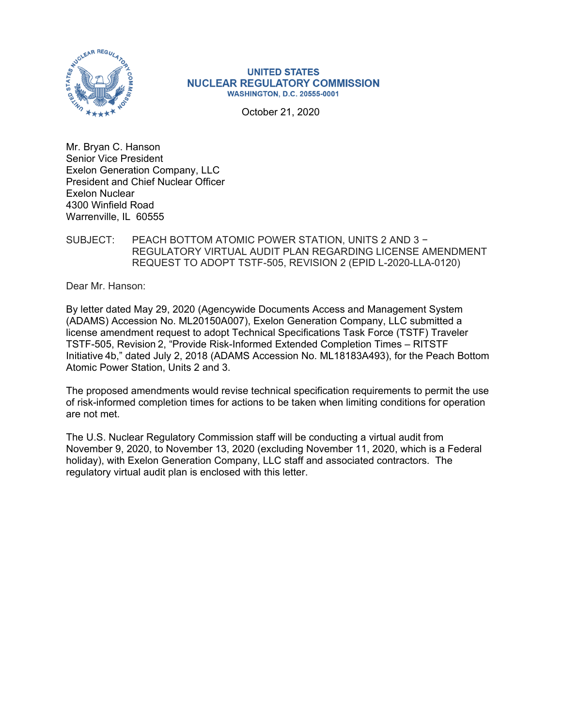

#### **UNITED STATES NUCLEAR REGULATORY COMMISSION WASHINGTON, D.C. 20555-0001**

October 21, 2020

Mr. Bryan C. Hanson Senior Vice President Exelon Generation Company, LLC President and Chief Nuclear Officer Exelon Nuclear 4300 Winfield Road Warrenville, IL 60555

### SUBJECT: PEACH BOTTOM ATOMIC POWER STATION, UNITS 2 AND 3 − REGULATORY VIRTUAL AUDIT PLAN REGARDING LICENSE AMENDMENT REQUEST TO ADOPT TSTF-505, REVISION 2 (EPID L-2020-LLA-0120)

Dear Mr. Hanson:

By letter dated May 29, 2020 (Agencywide Documents Access and Management System (ADAMS) Accession No. ML20150A007), Exelon Generation Company, LLC submitted a license amendment request to adopt Technical Specifications Task Force (TSTF) Traveler TSTF-505, Revision 2, "Provide Risk-Informed Extended Completion Times – RITSTF Initiative 4b," dated July 2, 2018 (ADAMS Accession No. ML18183A493), for the Peach Bottom Atomic Power Station, Units 2 and 3.

The proposed amendments would revise technical specification requirements to permit the use of risk-informed completion times for actions to be taken when limiting conditions for operation are not met.

The U.S. Nuclear Regulatory Commission staff will be conducting a virtual audit from November 9, 2020, to November 13, 2020 (excluding November 11, 2020, which is a Federal holiday), with Exelon Generation Company, LLC staff and associated contractors. The regulatory virtual audit plan is enclosed with this letter.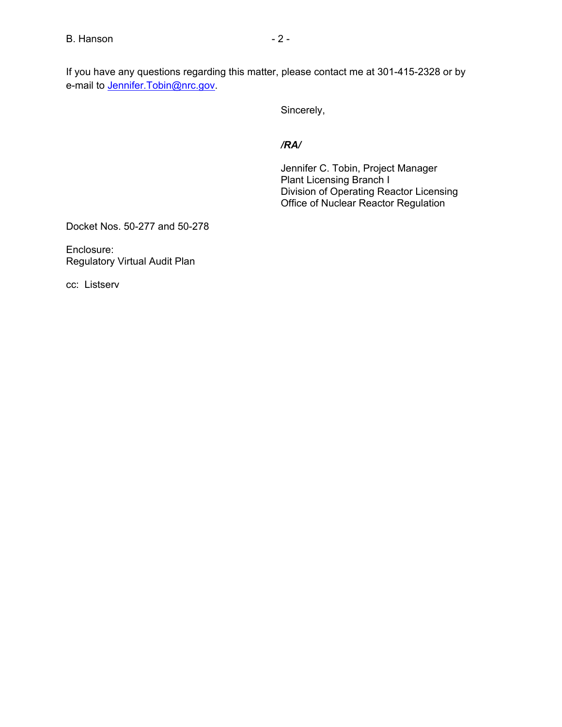If you have any questions regarding this matter, please contact me at 301-415-2328 or by e-mail to **Jennifer.Tobin@nrc.gov**.

Sincerely,

### */RA/*

Jennifer C. Tobin, Project Manager Plant Licensing Branch I Division of Operating Reactor Licensing Office of Nuclear Reactor Regulation

Docket Nos. 50-277 and 50-278

Enclosure: Regulatory Virtual Audit Plan

cc: Listserv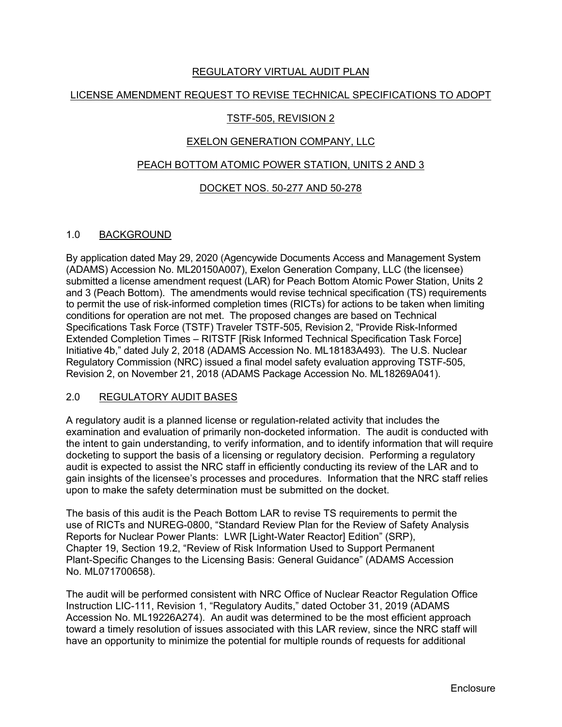### REGULATORY VIRTUAL AUDIT PLAN

### LICENSE AMENDMENT REQUEST TO REVISE TECHNICAL SPECIFICATIONS TO ADOPT

### TSTF-505, REVISION 2

### EXELON GENERATION COMPANY, LLC

### PEACH BOTTOM ATOMIC POWER STATION, UNITS 2 AND 3

### DOCKET NOS. 50-277 AND 50-278

#### 1.0 BACKGROUND

By application dated May 29, 2020 (Agencywide Documents Access and Management System (ADAMS) Accession No. ML20150A007), Exelon Generation Company, LLC (the licensee) submitted a license amendment request (LAR) for Peach Bottom Atomic Power Station, Units 2 and 3 (Peach Bottom). The amendments would revise technical specification (TS) requirements to permit the use of risk-informed completion times (RICTs) for actions to be taken when limiting conditions for operation are not met. The proposed changes are based on Technical Specifications Task Force (TSTF) Traveler TSTF-505, Revision 2, "Provide Risk-Informed Extended Completion Times – RITSTF [Risk Informed Technical Specification Task Force] Initiative 4b," dated July 2, 2018 (ADAMS Accession No. ML18183A493). The U.S. Nuclear Regulatory Commission (NRC) issued a final model safety evaluation approving TSTF-505, Revision 2, on November 21, 2018 (ADAMS Package Accession No. ML18269A041).

### 2.0 REGULATORY AUDIT BASES

A regulatory audit is a planned license or regulation-related activity that includes the examination and evaluation of primarily non-docketed information. The audit is conducted with the intent to gain understanding, to verify information, and to identify information that will require docketing to support the basis of a licensing or regulatory decision. Performing a regulatory audit is expected to assist the NRC staff in efficiently conducting its review of the LAR and to gain insights of the licensee's processes and procedures. Information that the NRC staff relies upon to make the safety determination must be submitted on the docket.

The basis of this audit is the Peach Bottom LAR to revise TS requirements to permit the use of RICTs and NUREG-0800, "Standard Review Plan for the Review of Safety Analysis Reports for Nuclear Power Plants: LWR [Light-Water Reactor] Edition" (SRP), Chapter 19, Section 19.2, "Review of Risk Information Used to Support Permanent Plant-Specific Changes to the Licensing Basis: General Guidance" (ADAMS Accession No. ML071700658).

The audit will be performed consistent with NRC Office of Nuclear Reactor Regulation Office Instruction LIC-111, Revision 1, "Regulatory Audits," dated October 31, 2019 (ADAMS Accession No. ML19226A274). An audit was determined to be the most efficient approach toward a timely resolution of issues associated with this LAR review, since the NRC staff will have an opportunity to minimize the potential for multiple rounds of requests for additional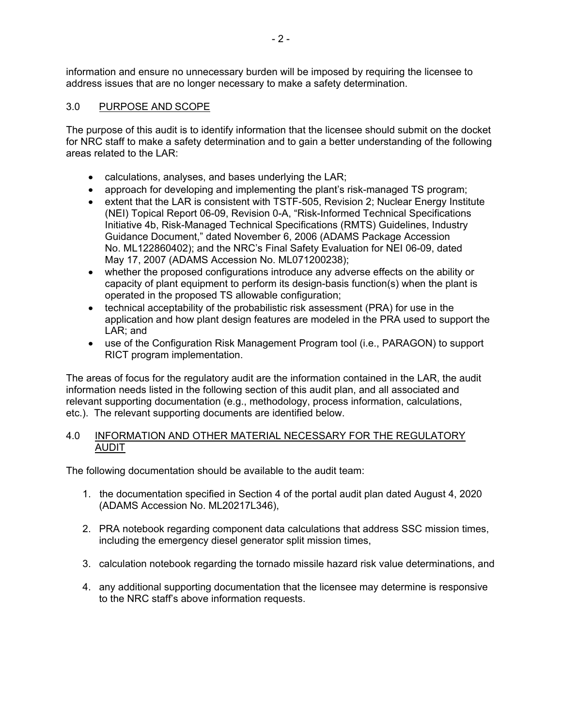information and ensure no unnecessary burden will be imposed by requiring the licensee to address issues that are no longer necessary to make a safety determination.

### 3.0 PURPOSE AND SCOPE

The purpose of this audit is to identify information that the licensee should submit on the docket for NRC staff to make a safety determination and to gain a better understanding of the following areas related to the LAR:

- calculations, analyses, and bases underlying the LAR;
- approach for developing and implementing the plant's risk-managed TS program;
- extent that the LAR is consistent with TSTF-505, Revision 2; Nuclear Energy Institute (NEI) Topical Report 06-09, Revision 0-A, "Risk-Informed Technical Specifications Initiative 4b, Risk-Managed Technical Specifications (RMTS) Guidelines, Industry Guidance Document," dated November 6, 2006 (ADAMS Package Accession No. ML122860402); and the NRC's Final Safety Evaluation for NEI 06-09, dated May 17, 2007 (ADAMS Accession No. ML071200238);
- whether the proposed configurations introduce any adverse effects on the ability or capacity of plant equipment to perform its design-basis function(s) when the plant is operated in the proposed TS allowable configuration;
- technical acceptability of the probabilistic risk assessment (PRA) for use in the application and how plant design features are modeled in the PRA used to support the LAR; and
- use of the Configuration Risk Management Program tool (i.e., PARAGON) to support RICT program implementation.

The areas of focus for the regulatory audit are the information contained in the LAR, the audit information needs listed in the following section of this audit plan, and all associated and relevant supporting documentation (e.g., methodology, process information, calculations, etc.). The relevant supporting documents are identified below.

#### 4.0 INFORMATION AND OTHER MATERIAL NECESSARY FOR THE REGULATORY AUDIT

The following documentation should be available to the audit team:

- 1. the documentation specified in Section 4 of the portal audit plan dated August 4, 2020 (ADAMS Accession No. ML20217L346),
- 2. PRA notebook regarding component data calculations that address SSC mission times, including the emergency diesel generator split mission times,
- 3. calculation notebook regarding the tornado missile hazard risk value determinations, and
- 4. any additional supporting documentation that the licensee may determine is responsive to the NRC staff's above information requests.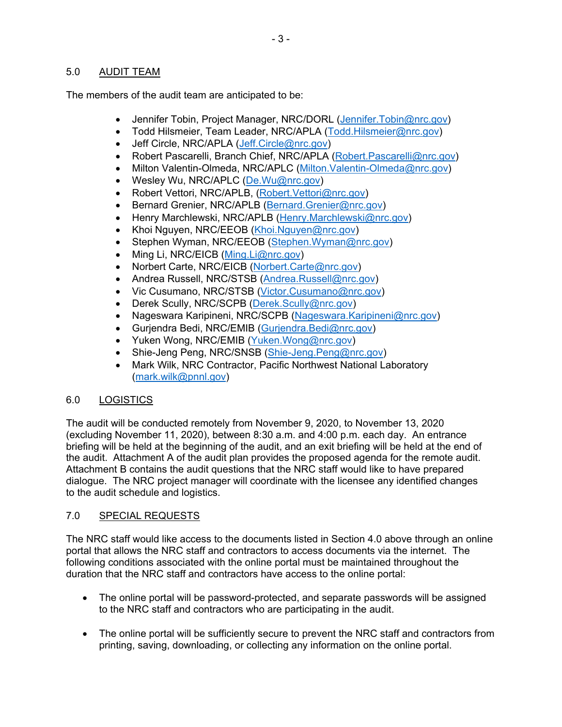### 5.0 AUDIT TEAM

The members of the audit team are anticipated to be:

- Jennifer Tobin, Project Manager, NRC/DORL (Jennifer.Tobin@nrc.gov)
- Todd Hilsmeier, Team Leader, NRC/APLA (Todd.Hilsmeier@nrc.gov)
- Jeff Circle, NRC/APLA (Jeff.Circle@nrc.gov)
- Robert Pascarelli, Branch Chief, NRC/APLA (Robert. Pascarelli@nrc.gov)
- Milton Valentin-Olmeda, NRC/APLC (Milton. Valentin-Olmeda@nrc.gov)
- Wesley Wu, NRC/APLC (De. Wu@nrc.gov)
- Robert Vettori, NRC/APLB, (Robert. Vettori@nrc.gov)
- Bernard Grenier, NRC/APLB (Bernard.Grenier@nrc.gov)
- Henry Marchlewski, NRC/APLB (Henry.Marchlewski@nrc.gov)
- Khoi Nguyen, NRC/EEOB (Khoi.Nguyen@nrc.gov)
- Stephen Wyman, NRC/EEOB (Stephen. Wyman@nrc.gov)
- $\bullet$  Ming Li, NRC/EICB (Ming.Li@nrc.gov)
- Norbert Carte, NRC/EICB (Norbert.Carte@nrc.gov)
- Andrea Russell, NRC/STSB (Andrea.Russell@nrc.gov)
- Vic Cusumano, NRC/STSB (Victor.Cusumano@nrc.gov)
- Derek Scully, NRC/SCPB (Derek.Scully@nrc.gov)
- Nageswara Karipineni, NRC/SCPB (Nageswara.Karipineni@nrc.gov)
- · Gurjendra Bedi, NRC/EMIB (Gurjendra.Bedi@nrc.gov)
- Yuken Wong, NRC/EMIB (Yuken. Wong@nrc.gov)
- Shie-Jeng Peng, NRC/SNSB (Shie-Jeng.Peng@nrc.gov)
- Mark Wilk, NRC Contractor, Pacific Northwest National Laboratory (mark.wilk@pnnl.gov)

### 6.0 LOGISTICS

The audit will be conducted remotely from November 9, 2020, to November 13, 2020 (excluding November 11, 2020), between 8:30 a.m. and 4:00 p.m. each day. An entrance briefing will be held at the beginning of the audit, and an exit briefing will be held at the end of the audit. Attachment A of the audit plan provides the proposed agenda for the remote audit. Attachment B contains the audit questions that the NRC staff would like to have prepared dialogue. The NRC project manager will coordinate with the licensee any identified changes to the audit schedule and logistics.

### 7.0 SPECIAL REQUESTS

The NRC staff would like access to the documents listed in Section 4.0 above through an online portal that allows the NRC staff and contractors to access documents via the internet. The following conditions associated with the online portal must be maintained throughout the duration that the NRC staff and contractors have access to the online portal:

- The online portal will be password-protected, and separate passwords will be assigned to the NRC staff and contractors who are participating in the audit.
- The online portal will be sufficiently secure to prevent the NRC staff and contractors from printing, saving, downloading, or collecting any information on the online portal.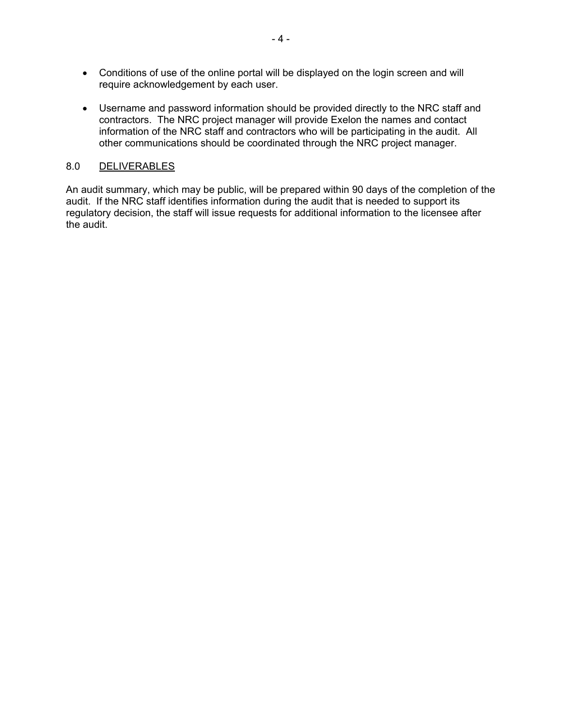- Conditions of use of the online portal will be displayed on the login screen and will require acknowledgement by each user.
- Username and password information should be provided directly to the NRC staff and contractors. The NRC project manager will provide Exelon the names and contact information of the NRC staff and contractors who will be participating in the audit. All other communications should be coordinated through the NRC project manager.

### 8.0 DELIVERABLES

An audit summary, which may be public, will be prepared within 90 days of the completion of the audit. If the NRC staff identifies information during the audit that is needed to support its regulatory decision, the staff will issue requests for additional information to the licensee after the audit.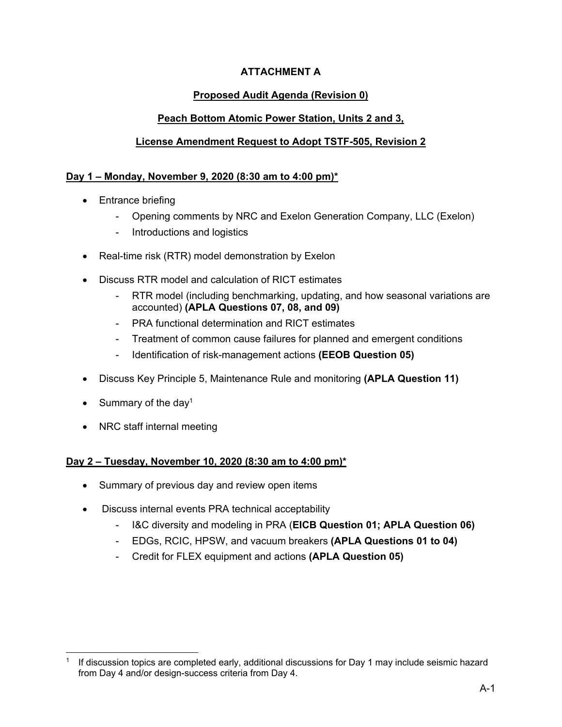# **ATTACHMENT A**

# **Proposed Audit Agenda (Revision 0)**

# **Peach Bottom Atomic Power Station, Units 2 and 3,**

# **License Amendment Request to Adopt TSTF-505, Revision 2**

# **Day 1 – Monday, November 9, 2020 (8:30 am to 4:00 pm)\***

- Entrance briefing
	- Opening comments by NRC and Exelon Generation Company, LLC (Exelon)
	- Introductions and logistics
- Real-time risk (RTR) model demonstration by Exelon
- Discuss RTR model and calculation of RICT estimates
	- RTR model (including benchmarking, updating, and how seasonal variations are accounted) **(APLA Questions 07, 08, and 09)**
	- PRA functional determination and RICT estimates
	- Treatment of common cause failures for planned and emergent conditions
	- Identification of risk-management actions **(EEOB Question 05)**
- Discuss Key Principle 5, Maintenance Rule and monitoring **(APLA Question 11)**
- Summary of the day<sup>1</sup>
- NRC staff internal meeting

## **Day 2 – Tuesday, November 10, 2020 (8:30 am to 4:00 pm)\***

- Summary of previous day and review open items
- Discuss internal events PRA technical acceptability
	- I&C diversity and modeling in PRA (**EICB Question 01; APLA Question 06)**
	- EDGs, RCIC, HPSW, and vacuum breakers **(APLA Questions 01 to 04)**
	- Credit for FLEX equipment and actions **(APLA Question 05)**

If discussion topics are completed early, additional discussions for Day 1 may include seismic hazard from Day 4 and/or design-success criteria from Day 4.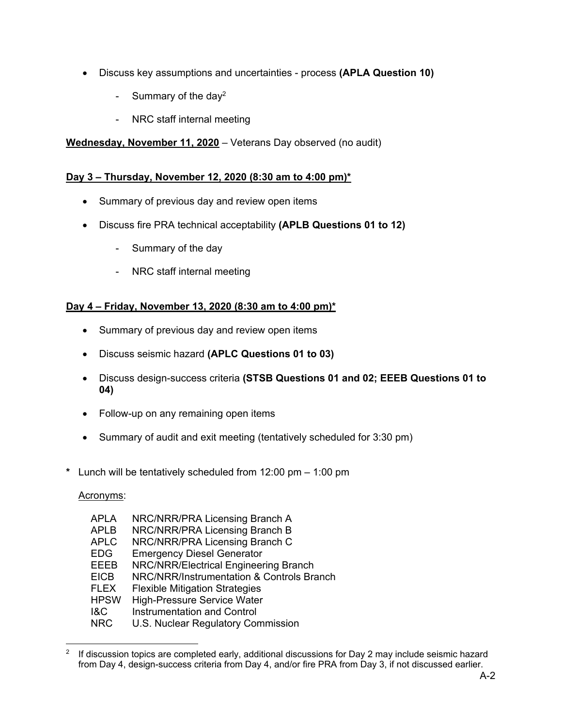- Discuss key assumptions and uncertainties process **(APLA Question 10)**
	- Summary of the day<sup>2</sup>
	- NRC staff internal meeting

# **Wednesday, November 11, 2020** – Veterans Day observed (no audit)

## **Day 3 – Thursday, November 12, 2020 (8:30 am to 4:00 pm)\***

- Summary of previous day and review open items
- Discuss fire PRA technical acceptability **(APLB Questions 01 to 12)**
	- Summary of the day
	- NRC staff internal meeting

## **Day 4 – Friday, November 13, 2020 (8:30 am to 4:00 pm)\***

- Summary of previous day and review open items
- Discuss seismic hazard **(APLC Questions 01 to 03)**
- Discuss design-success criteria **(STSB Questions 01 and 02; EEEB Questions 01 to 04)**
- Follow-up on any remaining open items
- Summary of audit and exit meeting (tentatively scheduled for 3:30 pm)
- **\*** Lunch will be tentatively scheduled from 12:00 pm 1:00 pm

Acronyms:

- APLA NRC/NRR/PRA Licensing Branch A
- APLB NRC/NRR/PRA Licensing Branch B
- APLC NRC/NRR/PRA Licensing Branch C
- EDG Emergency Diesel Generator
- EEEB NRC/NRR/Electrical Engineering Branch
- EICB NRC/NRR/Instrumentation & Controls Branch
- FLEX Flexible Mitigation Strategies<br>HPSW High-Pressure Service Water
- High-Pressure Service Water
- **I&C** Instrumentation and Control<br>
NRC U.S. Nuclear Requilatory Cor
- U.S. Nuclear Regulatory Commission

<sup>&</sup>lt;sup>2</sup> If discussion topics are completed early, additional discussions for Day 2 may include seismic hazard from Day 4, design-success criteria from Day 4, and/or fire PRA from Day 3, if not discussed earlier.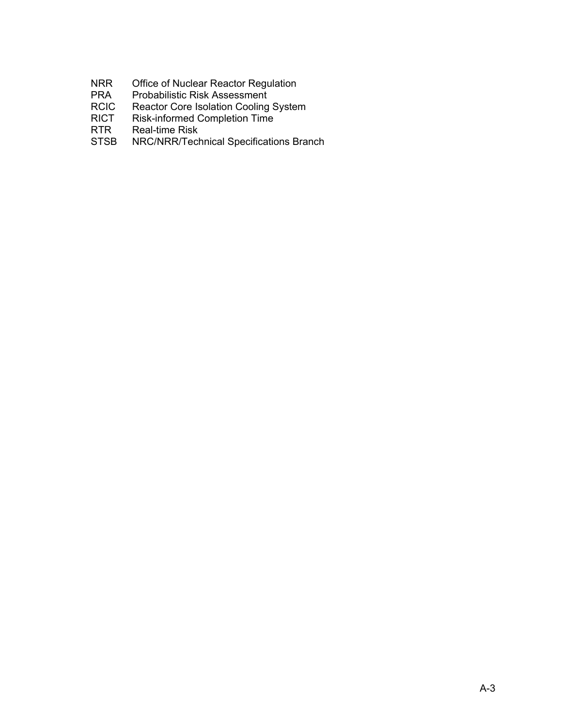- NRR Office of Nuclear Reactor Regulation
- PRA Probabilistic Risk Assessment
- RCIC Reactor Core Isolation Cooling System<br>RICT Risk-informed Completion Time
- Risk-informed Completion Time
- RTR Real-time Risk
- STSB NRC/NRR/Technical Specifications Branch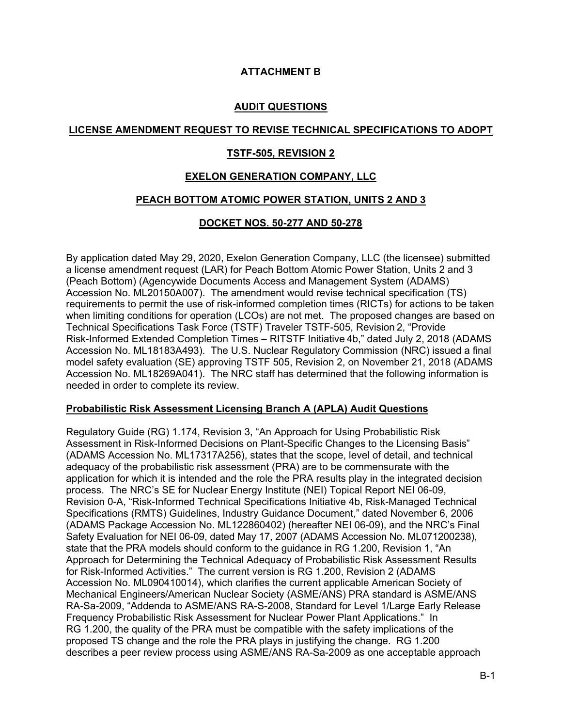## **ATTACHMENT B**

### **AUDIT QUESTIONS**

### **LICENSE AMENDMENT REQUEST TO REVISE TECHNICAL SPECIFICATIONS TO ADOPT**

### **TSTF-505, REVISION 2**

### **EXELON GENERATION COMPANY, LLC**

#### **PEACH BOTTOM ATOMIC POWER STATION, UNITS 2 AND 3**

#### **DOCKET NOS. 50-277 AND 50-278**

By application dated May 29, 2020, Exelon Generation Company, LLC (the licensee) submitted a license amendment request (LAR) for Peach Bottom Atomic Power Station, Units 2 and 3 (Peach Bottom) (Agencywide Documents Access and Management System (ADAMS) Accession No. ML20150A007). The amendment would revise technical specification (TS) requirements to permit the use of risk-informed completion times (RICTs) for actions to be taken when limiting conditions for operation (LCOs) are not met. The proposed changes are based on Technical Specifications Task Force (TSTF) Traveler TSTF-505, Revision 2, "Provide Risk-Informed Extended Completion Times – RITSTF Initiative 4b," dated July 2, 2018 (ADAMS Accession No. ML18183A493). The U.S. Nuclear Regulatory Commission (NRC) issued a final model safety evaluation (SE) approving TSTF 505, Revision 2, on November 21, 2018 (ADAMS Accession No. ML18269A041). The NRC staff has determined that the following information is needed in order to complete its review.

#### **Probabilistic Risk Assessment Licensing Branch A (APLA) Audit Questions**

Regulatory Guide (RG) 1.174, Revision 3, "An Approach for Using Probabilistic Risk Assessment in Risk-Informed Decisions on Plant-Specific Changes to the Licensing Basis" (ADAMS Accession No. ML17317A256), states that the scope, level of detail, and technical adequacy of the probabilistic risk assessment (PRA) are to be commensurate with the application for which it is intended and the role the PRA results play in the integrated decision process. The NRC's SE for Nuclear Energy Institute (NEI) Topical Report NEI 06-09, Revision 0-A, "Risk-Informed Technical Specifications Initiative 4b, Risk-Managed Technical Specifications (RMTS) Guidelines, Industry Guidance Document," dated November 6, 2006 (ADAMS Package Accession No. ML122860402) (hereafter NEI 06-09), and the NRC's Final Safety Evaluation for NEI 06-09, dated May 17, 2007 (ADAMS Accession No. ML071200238), state that the PRA models should conform to the guidance in RG 1.200, Revision 1, "An Approach for Determining the Technical Adequacy of Probabilistic Risk Assessment Results for Risk-Informed Activities." The current version is RG 1.200, Revision 2 (ADAMS Accession No. ML090410014), which clarifies the current applicable American Society of Mechanical Engineers/American Nuclear Society (ASME/ANS) PRA standard is ASME/ANS RA-Sa-2009, "Addenda to ASME/ANS RA-S-2008, Standard for Level 1/Large Early Release Frequency Probabilistic Risk Assessment for Nuclear Power Plant Applications." In RG 1.200, the quality of the PRA must be compatible with the safety implications of the proposed TS change and the role the PRA plays in justifying the change. RG 1.200 describes a peer review process using ASME/ANS RA-Sa-2009 as one acceptable approach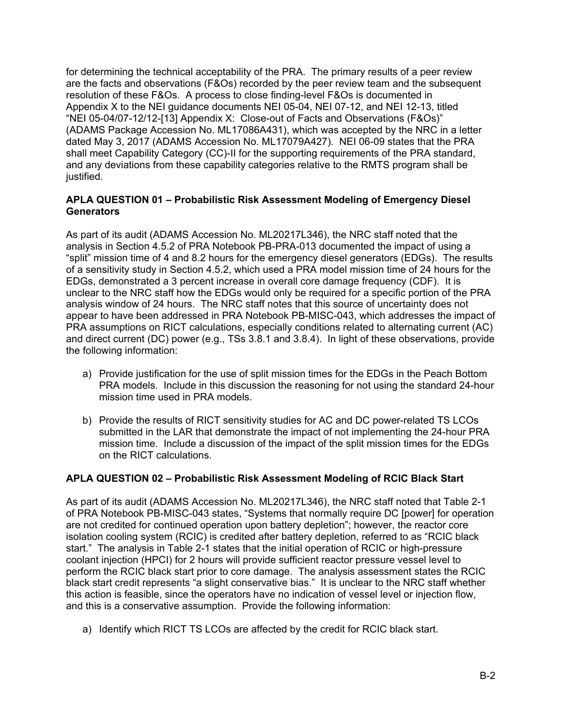for determining the technical acceptability of the PRA. The primary results of a peer review are the facts and observations (F&Os) recorded by the peer review team and the subsequent resolution of these F&Os. A process to close finding-level F&Os is documented in Appendix X to the NEI guidance documents NEI 05-04, NEI 07-12, and NEI 12-13, titled "NEI 05-04/07-12/12-[13] Appendix X: Close-out of Facts and Observations (F&Os)" (ADAMS Package Accession No. ML17086A431), which was accepted by the NRC in a letter dated May 3, 2017 (ADAMS Accession No. ML17079A427). NEI 06-09 states that the PRA shall meet Capability Category (CC)-II for the supporting requirements of the PRA standard, and any deviations from these capability categories relative to the RMTS program shall be justified.

### **APLA QUESTION 01 – Probabilistic Risk Assessment Modeling of Emergency Diesel Generators**

As part of its audit (ADAMS Accession No. ML20217L346), the NRC staff noted that the analysis in Section 4.5.2 of PRA Notebook PB-PRA-013 documented the impact of using a "split" mission time of 4 and 8.2 hours for the emergency diesel generators (EDGs). The results of a sensitivity study in Section 4.5.2, which used a PRA model mission time of 24 hours for the EDGs, demonstrated a 3 percent increase in overall core damage frequency (CDF). It is unclear to the NRC staff how the EDGs would only be required for a specific portion of the PRA analysis window of 24 hours. The NRC staff notes that this source of uncertainty does not appear to have been addressed in PRA Notebook PB-MISC-043, which addresses the impact of PRA assumptions on RICT calculations, especially conditions related to alternating current (AC) and direct current (DC) power (e.g., TSs 3.8.1 and 3.8.4). In light of these observations, provide the following information:

- a) Provide justification for the use of split mission times for the EDGs in the Peach Bottom PRA models. Include in this discussion the reasoning for not using the standard 24-hour mission time used in PRA models.
- b) Provide the results of RICT sensitivity studies for AC and DC power-related TS LCOs submitted in the LAR that demonstrate the impact of not implementing the 24-hour PRA mission time. Include a discussion of the impact of the split mission times for the EDGs on the RICT calculations.

### **APLA QUESTION 02 – Probabilistic Risk Assessment Modeling of RCIC Black Start**

As part of its audit (ADAMS Accession No. ML20217L346), the NRC staff noted that Table 2-1 of PRA Notebook PB-MISC-043 states, "Systems that normally require DC [power] for operation are not credited for continued operation upon battery depletion"; however, the reactor core isolation cooling system (RCIC) is credited after battery depletion, referred to as "RCIC black start." The analysis in Table 2-1 states that the initial operation of RCIC or high-pressure coolant injection (HPCI) for 2 hours will provide sufficient reactor pressure vessel level to perform the RCIC black start prior to core damage. The analysis assessment states the RCIC black start credit represents "a slight conservative bias." It is unclear to the NRC staff whether this action is feasible, since the operators have no indication of vessel level or injection flow, and this is a conservative assumption. Provide the following information:

a) Identify which RICT TS LCOs are affected by the credit for RCIC black start.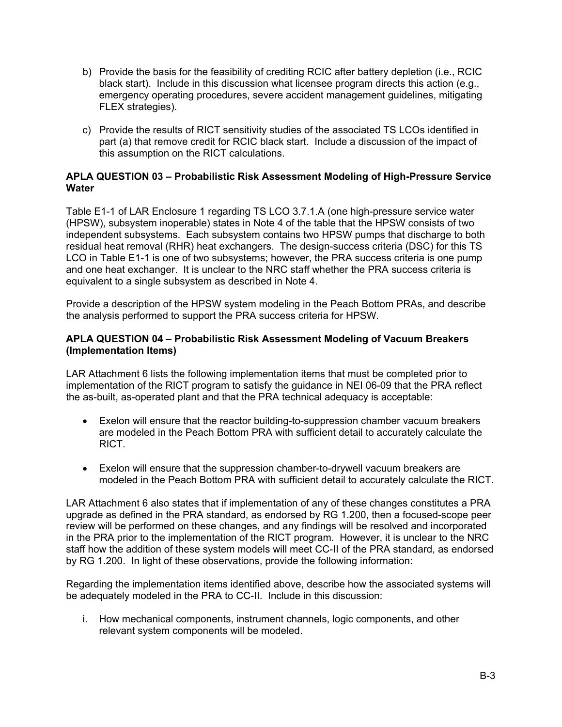- b) Provide the basis for the feasibility of crediting RCIC after battery depletion (i.e., RCIC black start). Include in this discussion what licensee program directs this action (e.g., emergency operating procedures, severe accident management guidelines, mitigating FLEX strategies).
- c) Provide the results of RICT sensitivity studies of the associated TS LCOs identified in part (a) that remove credit for RCIC black start. Include a discussion of the impact of this assumption on the RICT calculations.

### **APLA QUESTION 03 – Probabilistic Risk Assessment Modeling of High-Pressure Service Water**

Table E1-1 of LAR Enclosure 1 regarding TS LCO 3.7.1.A (one high-pressure service water (HPSW), subsystem inoperable) states in Note 4 of the table that the HPSW consists of two independent subsystems. Each subsystem contains two HPSW pumps that discharge to both residual heat removal (RHR) heat exchangers. The design-success criteria (DSC) for this TS LCO in Table E1-1 is one of two subsystems; however, the PRA success criteria is one pump and one heat exchanger. It is unclear to the NRC staff whether the PRA success criteria is equivalent to a single subsystem as described in Note 4.

Provide a description of the HPSW system modeling in the Peach Bottom PRAs, and describe the analysis performed to support the PRA success criteria for HPSW.

### **APLA QUESTION 04 – Probabilistic Risk Assessment Modeling of Vacuum Breakers (Implementation Items)**

LAR Attachment 6 lists the following implementation items that must be completed prior to implementation of the RICT program to satisfy the guidance in NEI 06-09 that the PRA reflect the as-built, as-operated plant and that the PRA technical adequacy is acceptable:

- Exelon will ensure that the reactor building-to-suppression chamber vacuum breakers are modeled in the Peach Bottom PRA with sufficient detail to accurately calculate the RICT.
- Exelon will ensure that the suppression chamber-to-drywell vacuum breakers are modeled in the Peach Bottom PRA with sufficient detail to accurately calculate the RICT.

LAR Attachment 6 also states that if implementation of any of these changes constitutes a PRA upgrade as defined in the PRA standard, as endorsed by RG 1.200, then a focused-scope peer review will be performed on these changes, and any findings will be resolved and incorporated in the PRA prior to the implementation of the RICT program. However, it is unclear to the NRC staff how the addition of these system models will meet CC-II of the PRA standard, as endorsed by RG 1.200. In light of these observations, provide the following information:

Regarding the implementation items identified above, describe how the associated systems will be adequately modeled in the PRA to CC-II. Include in this discussion:

i. How mechanical components, instrument channels, logic components, and other relevant system components will be modeled.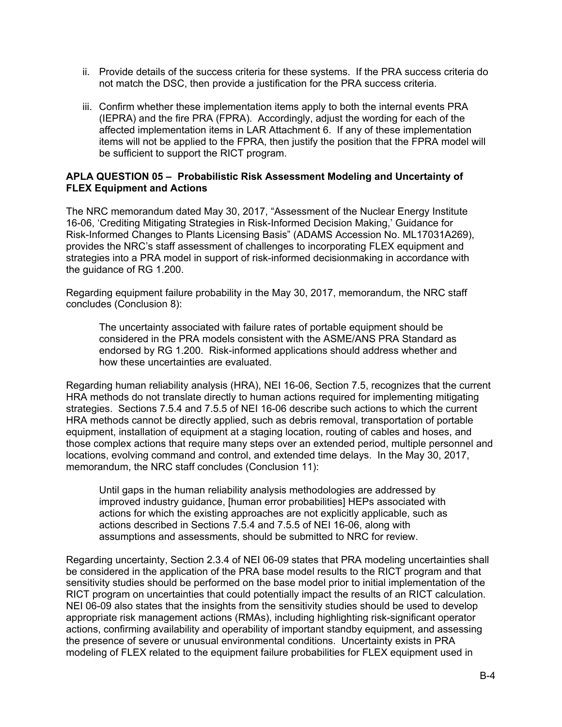- ii. Provide details of the success criteria for these systems. If the PRA success criteria do not match the DSC, then provide a justification for the PRA success criteria.
- iii. Confirm whether these implementation items apply to both the internal events PRA (IEPRA) and the fire PRA (FPRA). Accordingly, adjust the wording for each of the affected implementation items in LAR Attachment 6. If any of these implementation items will not be applied to the FPRA, then justify the position that the FPRA model will be sufficient to support the RICT program.

#### **APLA QUESTION 05 – Probabilistic Risk Assessment Modeling and Uncertainty of FLEX Equipment and Actions**

The NRC memorandum dated May 30, 2017, "Assessment of the Nuclear Energy Institute 16-06, 'Crediting Mitigating Strategies in Risk-Informed Decision Making,' Guidance for Risk-Informed Changes to Plants Licensing Basis" (ADAMS Accession No. ML17031A269), provides the NRC's staff assessment of challenges to incorporating FLEX equipment and strategies into a PRA model in support of risk-informed decisionmaking in accordance with the guidance of RG 1.200.

Regarding equipment failure probability in the May 30, 2017, memorandum, the NRC staff concludes (Conclusion 8):

The uncertainty associated with failure rates of portable equipment should be considered in the PRA models consistent with the ASME/ANS PRA Standard as endorsed by RG 1.200. Risk-informed applications should address whether and how these uncertainties are evaluated.

Regarding human reliability analysis (HRA), NEI 16-06, Section 7.5, recognizes that the current HRA methods do not translate directly to human actions required for implementing mitigating strategies. Sections 7.5.4 and 7.5.5 of NEI 16-06 describe such actions to which the current HRA methods cannot be directly applied, such as debris removal, transportation of portable equipment, installation of equipment at a staging location, routing of cables and hoses, and those complex actions that require many steps over an extended period, multiple personnel and locations, evolving command and control, and extended time delays. In the May 30, 2017, memorandum, the NRC staff concludes (Conclusion 11):

Until gaps in the human reliability analysis methodologies are addressed by improved industry guidance, [human error probabilities] HEPs associated with actions for which the existing approaches are not explicitly applicable, such as actions described in Sections 7.5.4 and 7.5.5 of NEI 16-06, along with assumptions and assessments, should be submitted to NRC for review.

Regarding uncertainty, Section 2.3.4 of NEI 06-09 states that PRA modeling uncertainties shall be considered in the application of the PRA base model results to the RICT program and that sensitivity studies should be performed on the base model prior to initial implementation of the RICT program on uncertainties that could potentially impact the results of an RICT calculation. NEI 06-09 also states that the insights from the sensitivity studies should be used to develop appropriate risk management actions (RMAs), including highlighting risk-significant operator actions, confirming availability and operability of important standby equipment, and assessing the presence of severe or unusual environmental conditions. Uncertainty exists in PRA modeling of FLEX related to the equipment failure probabilities for FLEX equipment used in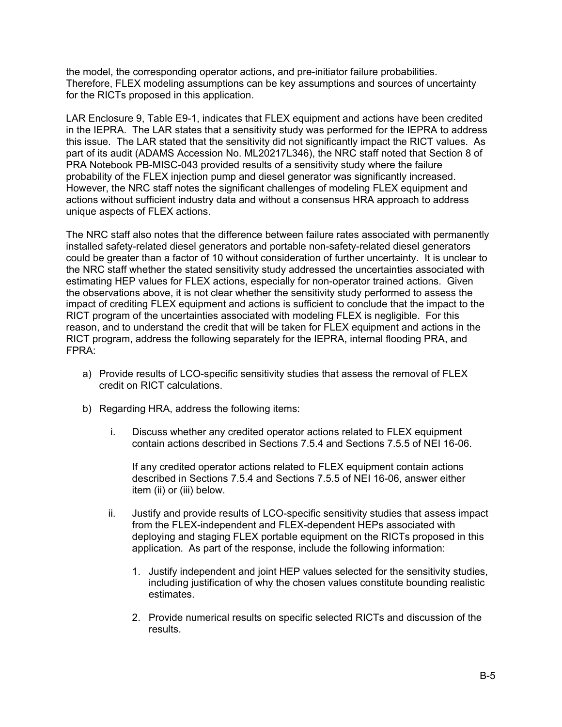the model, the corresponding operator actions, and pre-initiator failure probabilities. Therefore, FLEX modeling assumptions can be key assumptions and sources of uncertainty for the RICTs proposed in this application.

LAR Enclosure 9, Table E9-1, indicates that FLEX equipment and actions have been credited in the IEPRA. The LAR states that a sensitivity study was performed for the IEPRA to address this issue. The LAR stated that the sensitivity did not significantly impact the RICT values. As part of its audit (ADAMS Accession No. ML20217L346), the NRC staff noted that Section 8 of PRA Notebook PB-MISC-043 provided results of a sensitivity study where the failure probability of the FLEX injection pump and diesel generator was significantly increased. However, the NRC staff notes the significant challenges of modeling FLEX equipment and actions without sufficient industry data and without a consensus HRA approach to address unique aspects of FLEX actions.

The NRC staff also notes that the difference between failure rates associated with permanently installed safety-related diesel generators and portable non-safety-related diesel generators could be greater than a factor of 10 without consideration of further uncertainty. It is unclear to the NRC staff whether the stated sensitivity study addressed the uncertainties associated with estimating HEP values for FLEX actions, especially for non-operator trained actions. Given the observations above, it is not clear whether the sensitivity study performed to assess the impact of crediting FLEX equipment and actions is sufficient to conclude that the impact to the RICT program of the uncertainties associated with modeling FLEX is negligible. For this reason, and to understand the credit that will be taken for FLEX equipment and actions in the RICT program, address the following separately for the IEPRA, internal flooding PRA, and FPRA:

- a) Provide results of LCO-specific sensitivity studies that assess the removal of FLEX credit on RICT calculations.
- b) Regarding HRA, address the following items:
	- i. Discuss whether any credited operator actions related to FLEX equipment contain actions described in Sections 7.5.4 and Sections 7.5.5 of NEI 16-06.

If any credited operator actions related to FLEX equipment contain actions described in Sections 7.5.4 and Sections 7.5.5 of NEI 16-06, answer either item (ii) or (iii) below.

- ii. Justify and provide results of LCO-specific sensitivity studies that assess impact from the FLEX-independent and FLEX-dependent HEPs associated with deploying and staging FLEX portable equipment on the RICTs proposed in this application. As part of the response, include the following information:
	- 1. Justify independent and joint HEP values selected for the sensitivity studies, including justification of why the chosen values constitute bounding realistic estimates.
	- 2. Provide numerical results on specific selected RICTs and discussion of the results.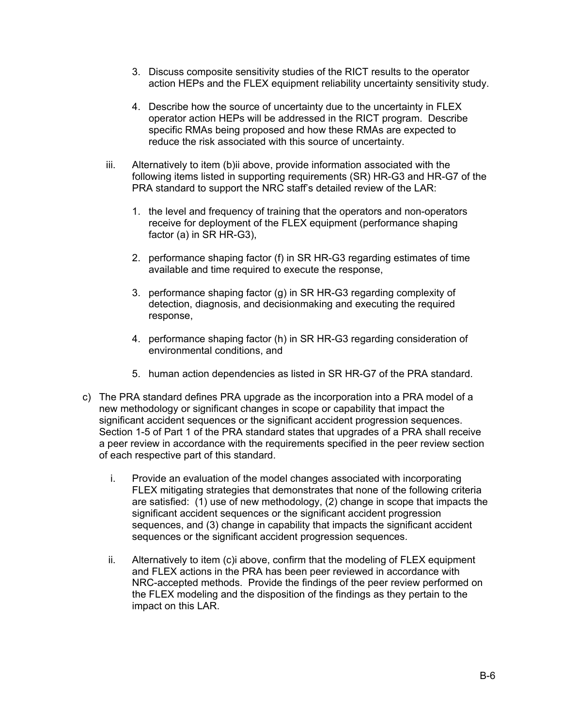- 3. Discuss composite sensitivity studies of the RICT results to the operator action HEPs and the FLEX equipment reliability uncertainty sensitivity study.
- 4. Describe how the source of uncertainty due to the uncertainty in FLEX operator action HEPs will be addressed in the RICT program. Describe specific RMAs being proposed and how these RMAs are expected to reduce the risk associated with this source of uncertainty.
- iii. Alternatively to item (b)ii above, provide information associated with the following items listed in supporting requirements (SR) HR-G3 and HR-G7 of the PRA standard to support the NRC staff's detailed review of the LAR:
	- 1. the level and frequency of training that the operators and non-operators receive for deployment of the FLEX equipment (performance shaping factor (a) in SR HR-G3),
	- 2. performance shaping factor (f) in SR HR-G3 regarding estimates of time available and time required to execute the response,
	- 3. performance shaping factor (g) in SR HR-G3 regarding complexity of detection, diagnosis, and decisionmaking and executing the required response,
	- 4. performance shaping factor (h) in SR HR-G3 regarding consideration of environmental conditions, and
	- 5. human action dependencies as listed in SR HR-G7 of the PRA standard.
- c) The PRA standard defines PRA upgrade as the incorporation into a PRA model of a new methodology or significant changes in scope or capability that impact the significant accident sequences or the significant accident progression sequences. Section 1-5 of Part 1 of the PRA standard states that upgrades of a PRA shall receive a peer review in accordance with the requirements specified in the peer review section of each respective part of this standard.
	- i. Provide an evaluation of the model changes associated with incorporating FLEX mitigating strategies that demonstrates that none of the following criteria are satisfied: (1) use of new methodology, (2) change in scope that impacts the significant accident sequences or the significant accident progression sequences, and (3) change in capability that impacts the significant accident sequences or the significant accident progression sequences.
	- ii. Alternatively to item (c)i above, confirm that the modeling of FLEX equipment and FLEX actions in the PRA has been peer reviewed in accordance with NRC-accepted methods. Provide the findings of the peer review performed on the FLEX modeling and the disposition of the findings as they pertain to the impact on this LAR.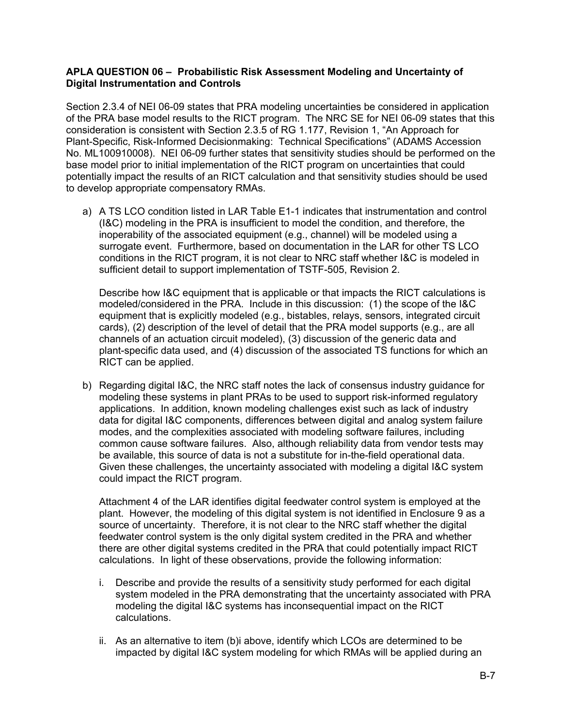### **APLA QUESTION 06 – Probabilistic Risk Assessment Modeling and Uncertainty of Digital Instrumentation and Controls**

Section 2.3.4 of NEI 06-09 states that PRA modeling uncertainties be considered in application of the PRA base model results to the RICT program. The NRC SE for NEI 06-09 states that this consideration is consistent with Section 2.3.5 of RG 1.177, Revision 1, "An Approach for Plant-Specific, Risk-Informed Decisionmaking: Technical Specifications" (ADAMS Accession No. ML100910008). NEI 06-09 further states that sensitivity studies should be performed on the base model prior to initial implementation of the RICT program on uncertainties that could potentially impact the results of an RICT calculation and that sensitivity studies should be used to develop appropriate compensatory RMAs.

a) A TS LCO condition listed in LAR Table E1-1 indicates that instrumentation and control (I&C) modeling in the PRA is insufficient to model the condition, and therefore, the inoperability of the associated equipment (e.g., channel) will be modeled using a surrogate event. Furthermore, based on documentation in the LAR for other TS LCO conditions in the RICT program, it is not clear to NRC staff whether I&C is modeled in sufficient detail to support implementation of TSTF-505, Revision 2.

Describe how I&C equipment that is applicable or that impacts the RICT calculations is modeled/considered in the PRA. Include in this discussion: (1) the scope of the I&C equipment that is explicitly modeled (e.g., bistables, relays, sensors, integrated circuit cards), (2) description of the level of detail that the PRA model supports (e.g., are all channels of an actuation circuit modeled), (3) discussion of the generic data and plant-specific data used, and (4) discussion of the associated TS functions for which an RICT can be applied.

b) Regarding digital I&C, the NRC staff notes the lack of consensus industry guidance for modeling these systems in plant PRAs to be used to support risk-informed regulatory applications. In addition, known modeling challenges exist such as lack of industry data for digital I&C components, differences between digital and analog system failure modes, and the complexities associated with modeling software failures, including common cause software failures. Also, although reliability data from vendor tests may be available, this source of data is not a substitute for in-the-field operational data. Given these challenges, the uncertainty associated with modeling a digital I&C system could impact the RICT program.

Attachment 4 of the LAR identifies digital feedwater control system is employed at the plant. However, the modeling of this digital system is not identified in Enclosure 9 as a source of uncertainty. Therefore, it is not clear to the NRC staff whether the digital feedwater control system is the only digital system credited in the PRA and whether there are other digital systems credited in the PRA that could potentially impact RICT calculations. In light of these observations, provide the following information:

- i. Describe and provide the results of a sensitivity study performed for each digital system modeled in the PRA demonstrating that the uncertainty associated with PRA modeling the digital I&C systems has inconsequential impact on the RICT calculations.
- ii. As an alternative to item (b)i above, identify which LCOs are determined to be impacted by digital I&C system modeling for which RMAs will be applied during an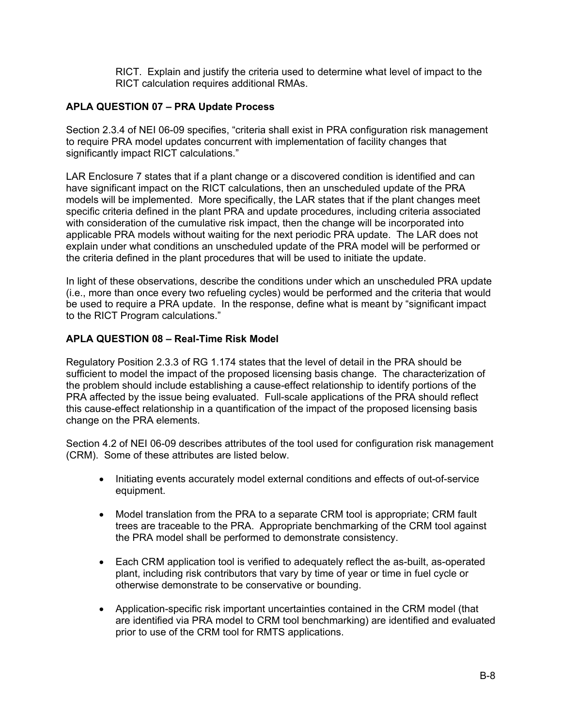RICT. Explain and justify the criteria used to determine what level of impact to the RICT calculation requires additional RMAs.

### **APLA QUESTION 07 – PRA Update Process**

Section 2.3.4 of NEI 06-09 specifies, "criteria shall exist in PRA configuration risk management to require PRA model updates concurrent with implementation of facility changes that significantly impact RICT calculations."

LAR Enclosure 7 states that if a plant change or a discovered condition is identified and can have significant impact on the RICT calculations, then an unscheduled update of the PRA models will be implemented. More specifically, the LAR states that if the plant changes meet specific criteria defined in the plant PRA and update procedures, including criteria associated with consideration of the cumulative risk impact, then the change will be incorporated into applicable PRA models without waiting for the next periodic PRA update. The LAR does not explain under what conditions an unscheduled update of the PRA model will be performed or the criteria defined in the plant procedures that will be used to initiate the update.

In light of these observations, describe the conditions under which an unscheduled PRA update (i.e., more than once every two refueling cycles) would be performed and the criteria that would be used to require a PRA update. In the response, define what is meant by "significant impact to the RICT Program calculations."

### **APLA QUESTION 08 – Real-Time Risk Model**

Regulatory Position 2.3.3 of RG 1.174 states that the level of detail in the PRA should be sufficient to model the impact of the proposed licensing basis change. The characterization of the problem should include establishing a cause-effect relationship to identify portions of the PRA affected by the issue being evaluated. Full-scale applications of the PRA should reflect this cause-effect relationship in a quantification of the impact of the proposed licensing basis change on the PRA elements.

Section 4.2 of NEI 06-09 describes attributes of the tool used for configuration risk management (CRM). Some of these attributes are listed below.

- Initiating events accurately model external conditions and effects of out-of-service equipment.
- Model translation from the PRA to a separate CRM tool is appropriate; CRM fault trees are traceable to the PRA. Appropriate benchmarking of the CRM tool against the PRA model shall be performed to demonstrate consistency.
- Each CRM application tool is verified to adequately reflect the as-built, as-operated plant, including risk contributors that vary by time of year or time in fuel cycle or otherwise demonstrate to be conservative or bounding.
- Application-specific risk important uncertainties contained in the CRM model (that are identified via PRA model to CRM tool benchmarking) are identified and evaluated prior to use of the CRM tool for RMTS applications.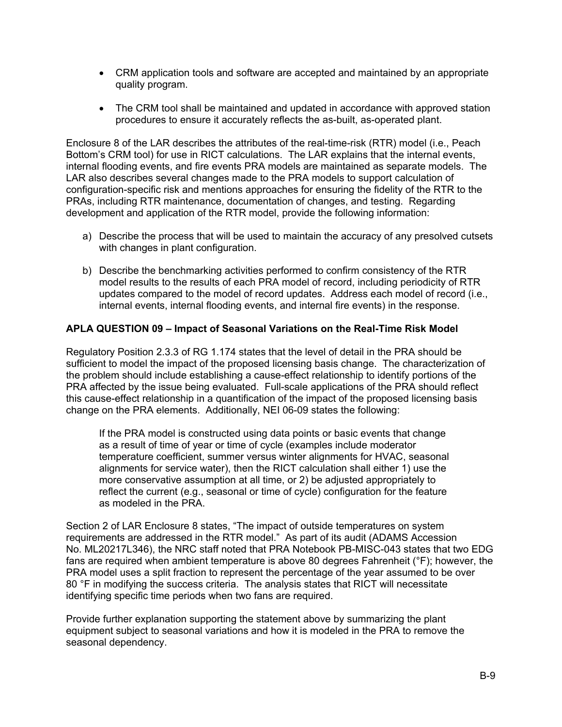- CRM application tools and software are accepted and maintained by an appropriate quality program.
- The CRM tool shall be maintained and updated in accordance with approved station procedures to ensure it accurately reflects the as-built, as-operated plant.

Enclosure 8 of the LAR describes the attributes of the real-time-risk (RTR) model (i.e., Peach Bottom's CRM tool) for use in RICT calculations. The LAR explains that the internal events, internal flooding events, and fire events PRA models are maintained as separate models. The LAR also describes several changes made to the PRA models to support calculation of configuration-specific risk and mentions approaches for ensuring the fidelity of the RTR to the PRAs, including RTR maintenance, documentation of changes, and testing. Regarding development and application of the RTR model, provide the following information:

- a) Describe the process that will be used to maintain the accuracy of any presolved cutsets with changes in plant configuration.
- b) Describe the benchmarking activities performed to confirm consistency of the RTR model results to the results of each PRA model of record, including periodicity of RTR updates compared to the model of record updates. Address each model of record (i.e., internal events, internal flooding events, and internal fire events) in the response.

### **APLA QUESTION 09 – Impact of Seasonal Variations on the Real-Time Risk Model**

Regulatory Position 2.3.3 of RG 1.174 states that the level of detail in the PRA should be sufficient to model the impact of the proposed licensing basis change. The characterization of the problem should include establishing a cause-effect relationship to identify portions of the PRA affected by the issue being evaluated. Full-scale applications of the PRA should reflect this cause-effect relationship in a quantification of the impact of the proposed licensing basis change on the PRA elements. Additionally, NEI 06-09 states the following:

If the PRA model is constructed using data points or basic events that change as a result of time of year or time of cycle (examples include moderator temperature coefficient, summer versus winter alignments for HVAC, seasonal alignments for service water), then the RICT calculation shall either 1) use the more conservative assumption at all time, or 2) be adjusted appropriately to reflect the current (e.g., seasonal or time of cycle) configuration for the feature as modeled in the PRA.

Section 2 of LAR Enclosure 8 states, "The impact of outside temperatures on system requirements are addressed in the RTR model." As part of its audit (ADAMS Accession No. ML20217L346), the NRC staff noted that PRA Notebook PB-MISC-043 states that two EDG fans are required when ambient temperature is above 80 degrees Fahrenheit (°F); however, the PRA model uses a split fraction to represent the percentage of the year assumed to be over 80 °F in modifying the success criteria. The analysis states that RICT will necessitate identifying specific time periods when two fans are required.

Provide further explanation supporting the statement above by summarizing the plant equipment subject to seasonal variations and how it is modeled in the PRA to remove the seasonal dependency.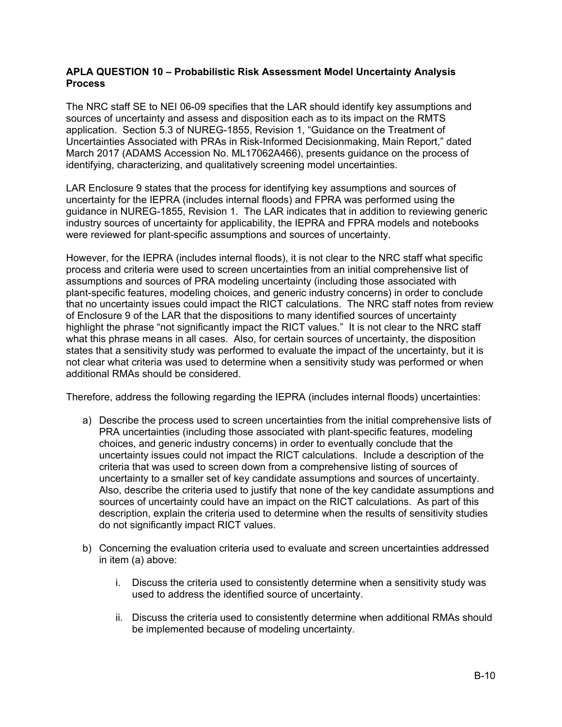### **APLA QUESTION 10 – Probabilistic Risk Assessment Model Uncertainty Analysis Process**

The NRC staff SE to NEI 06-09 specifies that the LAR should identify key assumptions and sources of uncertainty and assess and disposition each as to its impact on the RMTS application. Section 5.3 of NUREG-1855, Revision 1, "Guidance on the Treatment of Uncertainties Associated with PRAs in Risk-Informed Decisionmaking, Main Report," dated March 2017 (ADAMS Accession No. ML17062A466), presents guidance on the process of identifying, characterizing, and qualitatively screening model uncertainties.

LAR Enclosure 9 states that the process for identifying key assumptions and sources of uncertainty for the IEPRA (includes internal floods) and FPRA was performed using the guidance in NUREG-1855, Revision 1. The LAR indicates that in addition to reviewing generic industry sources of uncertainty for applicability, the IEPRA and FPRA models and notebooks were reviewed for plant-specific assumptions and sources of uncertainty.

However, for the IEPRA (includes internal floods), it is not clear to the NRC staff what specific process and criteria were used to screen uncertainties from an initial comprehensive list of assumptions and sources of PRA modeling uncertainty (including those associated with plant-specific features, modeling choices, and generic industry concerns) in order to conclude that no uncertainty issues could impact the RICT calculations. The NRC staff notes from review of Enclosure 9 of the LAR that the dispositions to many identified sources of uncertainty highlight the phrase "not significantly impact the RICT values." It is not clear to the NRC staff what this phrase means in all cases. Also, for certain sources of uncertainty, the disposition states that a sensitivity study was performed to evaluate the impact of the uncertainty, but it is not clear what criteria was used to determine when a sensitivity study was performed or when additional RMAs should be considered.

Therefore, address the following regarding the IEPRA (includes internal floods) uncertainties:

- a) Describe the process used to screen uncertainties from the initial comprehensive lists of PRA uncertainties (including those associated with plant-specific features, modeling choices, and generic industry concerns) in order to eventually conclude that the uncertainty issues could not impact the RICT calculations. Include a description of the criteria that was used to screen down from a comprehensive listing of sources of uncertainty to a smaller set of key candidate assumptions and sources of uncertainty. Also, describe the criteria used to justify that none of the key candidate assumptions and sources of uncertainty could have an impact on the RICT calculations. As part of this description, explain the criteria used to determine when the results of sensitivity studies do not significantly impact RICT values.
- b) Concerning the evaluation criteria used to evaluate and screen uncertainties addressed in item (a) above:
	- i. Discuss the criteria used to consistently determine when a sensitivity study was used to address the identified source of uncertainty.
	- ii. Discuss the criteria used to consistently determine when additional RMAs should be implemented because of modeling uncertainty.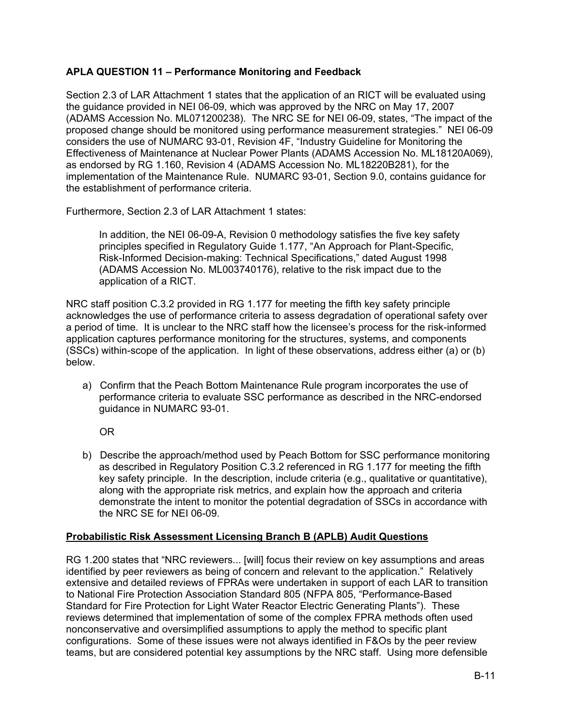### **APLA QUESTION 11 – Performance Monitoring and Feedback**

Section 2.3 of LAR Attachment 1 states that the application of an RICT will be evaluated using the guidance provided in NEI 06-09, which was approved by the NRC on May 17, 2007 (ADAMS Accession No. ML071200238). The NRC SE for NEI 06-09, states, "The impact of the proposed change should be monitored using performance measurement strategies." NEI 06-09 considers the use of NUMARC 93-01, Revision 4F, "Industry Guideline for Monitoring the Effectiveness of Maintenance at Nuclear Power Plants (ADAMS Accession No. ML18120A069), as endorsed by RG 1.160, Revision 4 (ADAMS Accession No. ML18220B281), for the implementation of the Maintenance Rule. NUMARC 93-01, Section 9.0, contains guidance for the establishment of performance criteria.

Furthermore, Section 2.3 of LAR Attachment 1 states:

In addition, the NEI 06-09-A, Revision 0 methodology satisfies the five key safety principles specified in Regulatory Guide 1.177, "An Approach for Plant-Specific, Risk-Informed Decision-making: Technical Specifications," dated August 1998 (ADAMS Accession No. ML003740176), relative to the risk impact due to the application of a RICT.

NRC staff position C.3.2 provided in RG 1.177 for meeting the fifth key safety principle acknowledges the use of performance criteria to assess degradation of operational safety over a period of time. It is unclear to the NRC staff how the licensee's process for the risk-informed application captures performance monitoring for the structures, systems, and components (SSCs) within-scope of the application. In light of these observations, address either (a) or (b) below.

a) Confirm that the Peach Bottom Maintenance Rule program incorporates the use of performance criteria to evaluate SSC performance as described in the NRC-endorsed guidance in NUMARC 93-01.

OR

b) Describe the approach/method used by Peach Bottom for SSC performance monitoring as described in Regulatory Position C.3.2 referenced in RG 1.177 for meeting the fifth key safety principle. In the description, include criteria (e.g., qualitative or quantitative), along with the appropriate risk metrics, and explain how the approach and criteria demonstrate the intent to monitor the potential degradation of SSCs in accordance with the NRC SE for NEI 06-09.

### **Probabilistic Risk Assessment Licensing Branch B (APLB) Audit Questions**

RG 1.200 states that "NRC reviewers... [will] focus their review on key assumptions and areas identified by peer reviewers as being of concern and relevant to the application." Relatively extensive and detailed reviews of FPRAs were undertaken in support of each LAR to transition to National Fire Protection Association Standard 805 (NFPA 805, "Performance-Based Standard for Fire Protection for Light Water Reactor Electric Generating Plants"). These reviews determined that implementation of some of the complex FPRA methods often used nonconservative and oversimplified assumptions to apply the method to specific plant configurations. Some of these issues were not always identified in F&Os by the peer review teams, but are considered potential key assumptions by the NRC staff. Using more defensible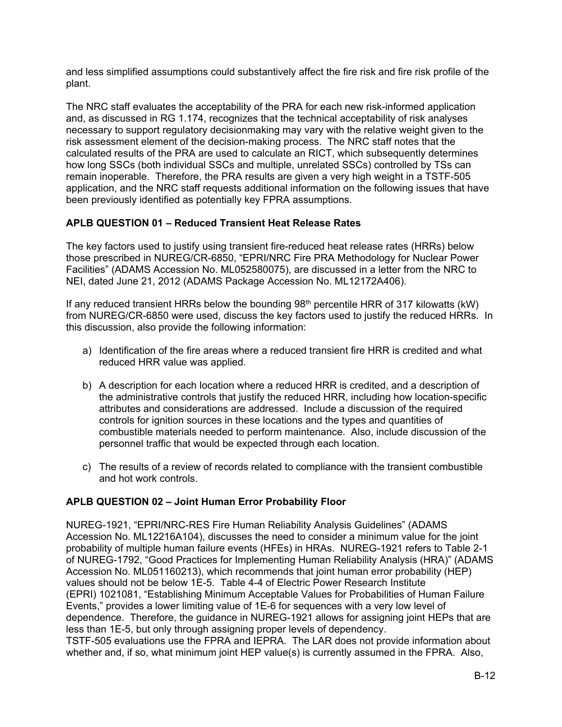and less simplified assumptions could substantively affect the fire risk and fire risk profile of the plant.

The NRC staff evaluates the acceptability of the PRA for each new risk-informed application and, as discussed in RG 1.174, recognizes that the technical acceptability of risk analyses necessary to support regulatory decisionmaking may vary with the relative weight given to the risk assessment element of the decision-making process. The NRC staff notes that the calculated results of the PRA are used to calculate an RICT, which subsequently determines how long SSCs (both individual SSCs and multiple, unrelated SSCs) controlled by TSs can remain inoperable. Therefore, the PRA results are given a very high weight in a TSTF-505 application, and the NRC staff requests additional information on the following issues that have been previously identified as potentially key FPRA assumptions.

## **APLB QUESTION 01 – Reduced Transient Heat Release Rates**

The key factors used to justify using transient fire-reduced heat release rates (HRRs) below those prescribed in NUREG/CR-6850, "EPRI/NRC Fire PRA Methodology for Nuclear Power Facilities" (ADAMS Accession No. ML052580075), are discussed in a letter from the NRC to NEI, dated June 21, 2012 (ADAMS Package Accession No. ML12172A406).

If any reduced transient HRRs below the bounding  $98<sup>th</sup>$  percentile HRR of 317 kilowatts (kW) from NUREG/CR-6850 were used, discuss the key factors used to justify the reduced HRRs. In this discussion, also provide the following information:

- a) Identification of the fire areas where a reduced transient fire HRR is credited and what reduced HRR value was applied.
- b) A description for each location where a reduced HRR is credited, and a description of the administrative controls that justify the reduced HRR, including how location-specific attributes and considerations are addressed. Include a discussion of the required controls for ignition sources in these locations and the types and quantities of combustible materials needed to perform maintenance. Also, include discussion of the personnel traffic that would be expected through each location.
- c) The results of a review of records related to compliance with the transient combustible and hot work controls.

### **APLB QUESTION 02 – Joint Human Error Probability Floor**

NUREG-1921, "EPRI/NRC-RES Fire Human Reliability Analysis Guidelines" (ADAMS Accession No. ML12216A104), discusses the need to consider a minimum value for the joint probability of multiple human failure events (HFEs) in HRAs. NUREG-1921 refers to Table 2-1 of NUREG-1792, "Good Practices for Implementing Human Reliability Analysis (HRA)" (ADAMS Accession No. ML051160213), which recommends that joint human error probability (HEP) values should not be below 1E-5. Table 4-4 of Electric Power Research Institute (EPRI) 1021081, "Establishing Minimum Acceptable Values for Probabilities of Human Failure Events," provides a lower limiting value of 1E-6 for sequences with a very low level of dependence. Therefore, the guidance in NUREG-1921 allows for assigning joint HEPs that are less than 1E-5, but only through assigning proper levels of dependency.

TSTF-505 evaluations use the FPRA and IEPRA. The LAR does not provide information about whether and, if so, what minimum joint HEP value(s) is currently assumed in the FPRA. Also,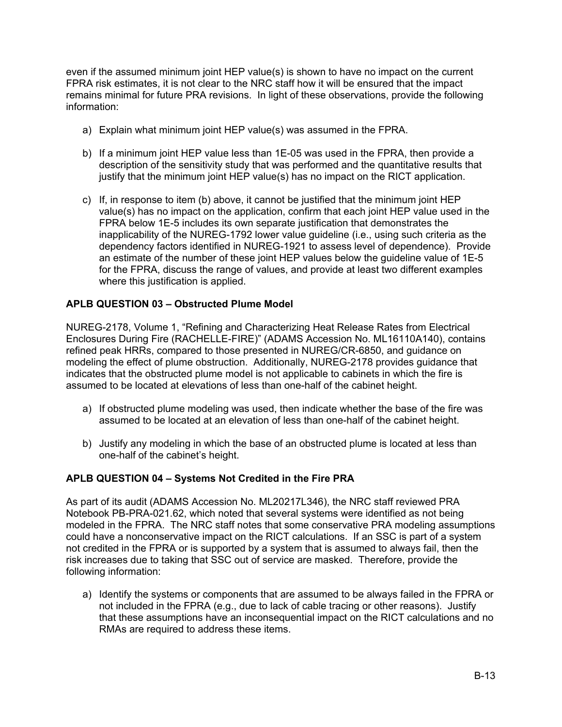even if the assumed minimum joint HEP value(s) is shown to have no impact on the current FPRA risk estimates, it is not clear to the NRC staff how it will be ensured that the impact remains minimal for future PRA revisions. In light of these observations, provide the following information:

- a) Explain what minimum joint HEP value(s) was assumed in the FPRA.
- b) If a minimum joint HEP value less than 1E-05 was used in the FPRA, then provide a description of the sensitivity study that was performed and the quantitative results that justify that the minimum joint HEP value(s) has no impact on the RICT application.
- c) If, in response to item (b) above, it cannot be justified that the minimum joint HEP value(s) has no impact on the application, confirm that each joint HEP value used in the FPRA below 1E-5 includes its own separate justification that demonstrates the inapplicability of the NUREG-1792 lower value guideline (i.e., using such criteria as the dependency factors identified in NUREG-1921 to assess level of dependence). Provide an estimate of the number of these joint HEP values below the guideline value of 1E-5 for the FPRA, discuss the range of values, and provide at least two different examples where this justification is applied.

### **APLB QUESTION 03 – Obstructed Plume Model**

NUREG-2178, Volume 1, "Refining and Characterizing Heat Release Rates from Electrical Enclosures During Fire (RACHELLE-FIRE)" (ADAMS Accession No. ML16110A140), contains refined peak HRRs, compared to those presented in NUREG/CR-6850, and guidance on modeling the effect of plume obstruction. Additionally, NUREG-2178 provides guidance that indicates that the obstructed plume model is not applicable to cabinets in which the fire is assumed to be located at elevations of less than one-half of the cabinet height.

- a) If obstructed plume modeling was used, then indicate whether the base of the fire was assumed to be located at an elevation of less than one-half of the cabinet height.
- b) Justify any modeling in which the base of an obstructed plume is located at less than one-half of the cabinet's height.

### **APLB QUESTION 04 – Systems Not Credited in the Fire PRA**

As part of its audit (ADAMS Accession No. ML20217L346), the NRC staff reviewed PRA Notebook PB-PRA-021.62, which noted that several systems were identified as not being modeled in the FPRA. The NRC staff notes that some conservative PRA modeling assumptions could have a nonconservative impact on the RICT calculations. If an SSC is part of a system not credited in the FPRA or is supported by a system that is assumed to always fail, then the risk increases due to taking that SSC out of service are masked. Therefore, provide the following information:

a) Identify the systems or components that are assumed to be always failed in the FPRA or not included in the FPRA (e.g., due to lack of cable tracing or other reasons). Justify that these assumptions have an inconsequential impact on the RICT calculations and no RMAs are required to address these items.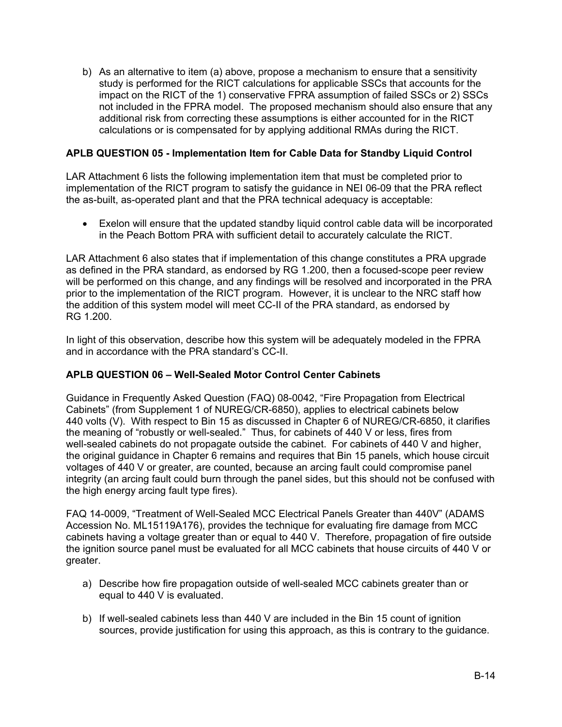b) As an alternative to item (a) above, propose a mechanism to ensure that a sensitivity study is performed for the RICT calculations for applicable SSCs that accounts for the impact on the RICT of the 1) conservative FPRA assumption of failed SSCs or 2) SSCs not included in the FPRA model. The proposed mechanism should also ensure that any additional risk from correcting these assumptions is either accounted for in the RICT calculations or is compensated for by applying additional RMAs during the RICT.

### **APLB QUESTION 05 - Implementation Item for Cable Data for Standby Liquid Control**

LAR Attachment 6 lists the following implementation item that must be completed prior to implementation of the RICT program to satisfy the guidance in NEI 06-09 that the PRA reflect the as-built, as-operated plant and that the PRA technical adequacy is acceptable:

 Exelon will ensure that the updated standby liquid control cable data will be incorporated in the Peach Bottom PRA with sufficient detail to accurately calculate the RICT.

LAR Attachment 6 also states that if implementation of this change constitutes a PRA upgrade as defined in the PRA standard, as endorsed by RG 1.200, then a focused-scope peer review will be performed on this change, and any findings will be resolved and incorporated in the PRA prior to the implementation of the RICT program. However, it is unclear to the NRC staff how the addition of this system model will meet CC-II of the PRA standard, as endorsed by RG 1.200.

In light of this observation, describe how this system will be adequately modeled in the FPRA and in accordance with the PRA standard's CC-II.

### **APLB QUESTION 06 – Well-Sealed Motor Control Center Cabinets**

Guidance in Frequently Asked Question (FAQ) 08-0042, "Fire Propagation from Electrical Cabinets" (from Supplement 1 of NUREG/CR-6850), applies to electrical cabinets below 440 volts (V). With respect to Bin 15 as discussed in Chapter 6 of NUREG/CR-6850, it clarifies the meaning of "robustly or well-sealed." Thus, for cabinets of 440 V or less, fires from well-sealed cabinets do not propagate outside the cabinet. For cabinets of 440 V and higher, the original guidance in Chapter 6 remains and requires that Bin 15 panels, which house circuit voltages of 440 V or greater, are counted, because an arcing fault could compromise panel integrity (an arcing fault could burn through the panel sides, but this should not be confused with the high energy arcing fault type fires).

FAQ 14-0009, "Treatment of Well-Sealed MCC Electrical Panels Greater than 440V" (ADAMS Accession No. ML15119A176), provides the technique for evaluating fire damage from MCC cabinets having a voltage greater than or equal to 440 V. Therefore, propagation of fire outside the ignition source panel must be evaluated for all MCC cabinets that house circuits of 440 V or greater.

- a) Describe how fire propagation outside of well-sealed MCC cabinets greater than or equal to 440 V is evaluated.
- b) If well-sealed cabinets less than 440 V are included in the Bin 15 count of ignition sources, provide justification for using this approach, as this is contrary to the guidance.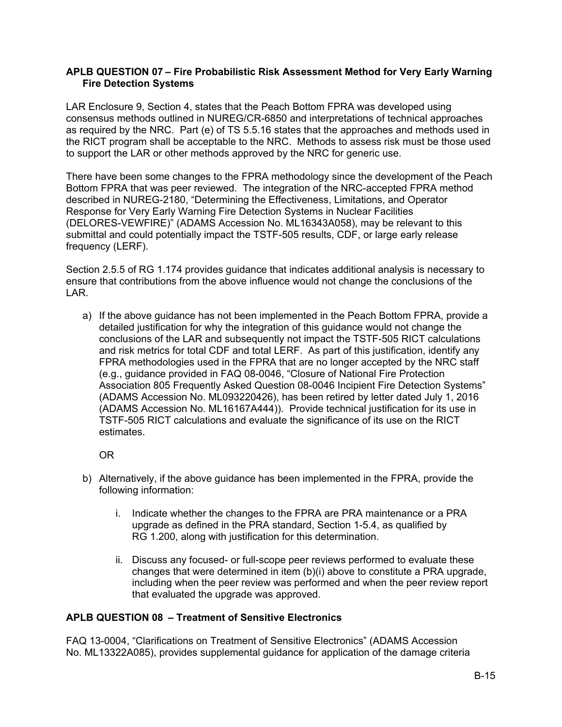### **APLB QUESTION 07 – Fire Probabilistic Risk Assessment Method for Very Early Warning Fire Detection Systems**

LAR Enclosure 9, Section 4, states that the Peach Bottom FPRA was developed using consensus methods outlined in NUREG/CR-6850 and interpretations of technical approaches as required by the NRC. Part (e) of TS 5.5.16 states that the approaches and methods used in the RICT program shall be acceptable to the NRC. Methods to assess risk must be those used to support the LAR or other methods approved by the NRC for generic use.

There have been some changes to the FPRA methodology since the development of the Peach Bottom FPRA that was peer reviewed. The integration of the NRC-accepted FPRA method described in NUREG-2180, "Determining the Effectiveness, Limitations, and Operator Response for Very Early Warning Fire Detection Systems in Nuclear Facilities (DELORES-VEWFIRE)" (ADAMS Accession No. ML16343A058), may be relevant to this submittal and could potentially impact the TSTF-505 results, CDF, or large early release frequency (LERF).

Section 2.5.5 of RG 1.174 provides guidance that indicates additional analysis is necessary to ensure that contributions from the above influence would not change the conclusions of the LAR.

a) If the above guidance has not been implemented in the Peach Bottom FPRA, provide a detailed justification for why the integration of this guidance would not change the conclusions of the LAR and subsequently not impact the TSTF-505 RICT calculations and risk metrics for total CDF and total LERF. As part of this justification, identify any FPRA methodologies used in the FPRA that are no longer accepted by the NRC staff (e.g., guidance provided in FAQ 08-0046, "Closure of National Fire Protection Association 805 Frequently Asked Question 08-0046 Incipient Fire Detection Systems" (ADAMS Accession No. ML093220426), has been retired by letter dated July 1, 2016 (ADAMS Accession No. ML16167A444)). Provide technical justification for its use in TSTF-505 RICT calculations and evaluate the significance of its use on the RICT estimates.

OR

- b) Alternatively, if the above guidance has been implemented in the FPRA, provide the following information:
	- i. Indicate whether the changes to the FPRA are PRA maintenance or a PRA upgrade as defined in the PRA standard, Section 1-5.4, as qualified by RG 1.200, along with justification for this determination.
	- ii. Discuss any focused- or full-scope peer reviews performed to evaluate these changes that were determined in item (b)(i) above to constitute a PRA upgrade, including when the peer review was performed and when the peer review report that evaluated the upgrade was approved.

### **APLB QUESTION 08 – Treatment of Sensitive Electronics**

FAQ 13-0004, "Clarifications on Treatment of Sensitive Electronics" (ADAMS Accession No. ML13322A085), provides supplemental guidance for application of the damage criteria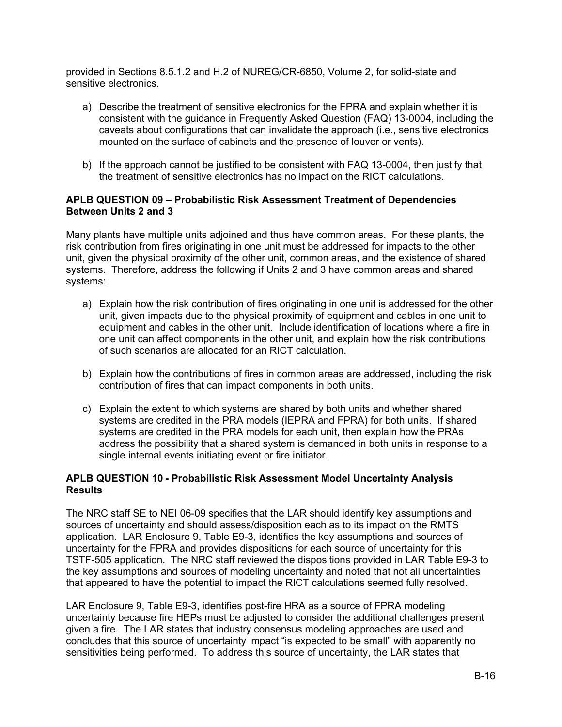provided in Sections 8.5.1.2 and H.2 of NUREG/CR-6850, Volume 2, for solid-state and sensitive electronics.

- a) Describe the treatment of sensitive electronics for the FPRA and explain whether it is consistent with the guidance in Frequently Asked Question (FAQ) 13-0004, including the caveats about configurations that can invalidate the approach (i.e., sensitive electronics mounted on the surface of cabinets and the presence of louver or vents).
- b) If the approach cannot be justified to be consistent with FAQ 13-0004, then justify that the treatment of sensitive electronics has no impact on the RICT calculations.

### **APLB QUESTION 09 – Probabilistic Risk Assessment Treatment of Dependencies Between Units 2 and 3**

Many plants have multiple units adjoined and thus have common areas. For these plants, the risk contribution from fires originating in one unit must be addressed for impacts to the other unit, given the physical proximity of the other unit, common areas, and the existence of shared systems. Therefore, address the following if Units 2 and 3 have common areas and shared systems:

- a) Explain how the risk contribution of fires originating in one unit is addressed for the other unit, given impacts due to the physical proximity of equipment and cables in one unit to equipment and cables in the other unit. Include identification of locations where a fire in one unit can affect components in the other unit, and explain how the risk contributions of such scenarios are allocated for an RICT calculation.
- b) Explain how the contributions of fires in common areas are addressed, including the risk contribution of fires that can impact components in both units.
- c) Explain the extent to which systems are shared by both units and whether shared systems are credited in the PRA models (IEPRA and FPRA) for both units. If shared systems are credited in the PRA models for each unit, then explain how the PRAs address the possibility that a shared system is demanded in both units in response to a single internal events initiating event or fire initiator.

### **APLB QUESTION 10 - Probabilistic Risk Assessment Model Uncertainty Analysis Results**

The NRC staff SE to NEI 06-09 specifies that the LAR should identify key assumptions and sources of uncertainty and should assess/disposition each as to its impact on the RMTS application. LAR Enclosure 9, Table E9-3, identifies the key assumptions and sources of uncertainty for the FPRA and provides dispositions for each source of uncertainty for this TSTF-505 application. The NRC staff reviewed the dispositions provided in LAR Table E9-3 to the key assumptions and sources of modeling uncertainty and noted that not all uncertainties that appeared to have the potential to impact the RICT calculations seemed fully resolved.

LAR Enclosure 9, Table E9-3, identifies post-fire HRA as a source of FPRA modeling uncertainty because fire HEPs must be adjusted to consider the additional challenges present given a fire. The LAR states that industry consensus modeling approaches are used and concludes that this source of uncertainty impact "is expected to be small" with apparently no sensitivities being performed. To address this source of uncertainty, the LAR states that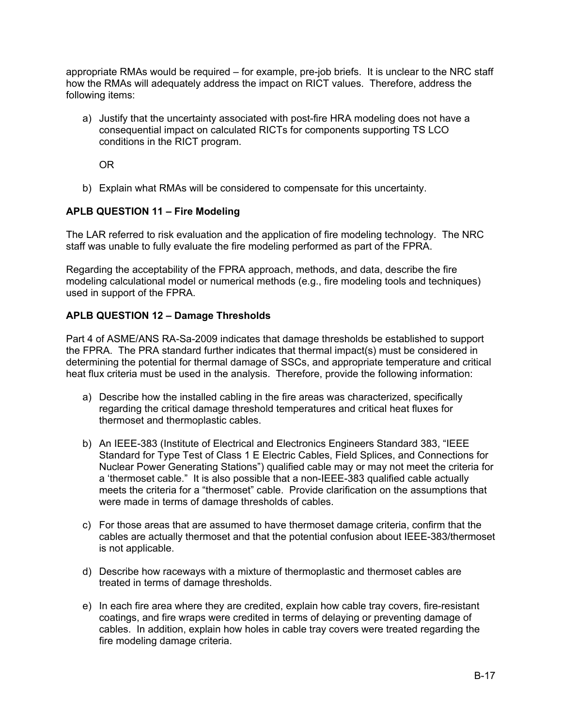appropriate RMAs would be required – for example, pre-job briefs. It is unclear to the NRC staff how the RMAs will adequately address the impact on RICT values. Therefore, address the following items:

a) Justify that the uncertainty associated with post-fire HRA modeling does not have a consequential impact on calculated RICTs for components supporting TS LCO conditions in the RICT program.

OR

b) Explain what RMAs will be considered to compensate for this uncertainty.

### **APLB QUESTION 11 – Fire Modeling**

The LAR referred to risk evaluation and the application of fire modeling technology. The NRC staff was unable to fully evaluate the fire modeling performed as part of the FPRA.

Regarding the acceptability of the FPRA approach, methods, and data, describe the fire modeling calculational model or numerical methods (e.g., fire modeling tools and techniques) used in support of the FPRA.

### **APLB QUESTION 12 – Damage Thresholds**

Part 4 of ASME/ANS RA-Sa-2009 indicates that damage thresholds be established to support the FPRA. The PRA standard further indicates that thermal impact(s) must be considered in determining the potential for thermal damage of SSCs, and appropriate temperature and critical heat flux criteria must be used in the analysis. Therefore, provide the following information:

- a) Describe how the installed cabling in the fire areas was characterized, specifically regarding the critical damage threshold temperatures and critical heat fluxes for thermoset and thermoplastic cables.
- b) An IEEE-383 (Institute of Electrical and Electronics Engineers Standard 383, "IEEE Standard for Type Test of Class 1 E Electric Cables, Field Splices, and Connections for Nuclear Power Generating Stations") qualified cable may or may not meet the criteria for a 'thermoset cable." It is also possible that a non-IEEE-383 qualified cable actually meets the criteria for a "thermoset" cable. Provide clarification on the assumptions that were made in terms of damage thresholds of cables.
- c) For those areas that are assumed to have thermoset damage criteria, confirm that the cables are actually thermoset and that the potential confusion about IEEE-383/thermoset is not applicable.
- d) Describe how raceways with a mixture of thermoplastic and thermoset cables are treated in terms of damage thresholds.
- e) In each fire area where they are credited, explain how cable tray covers, fire-resistant coatings, and fire wraps were credited in terms of delaying or preventing damage of cables. In addition, explain how holes in cable tray covers were treated regarding the fire modeling damage criteria.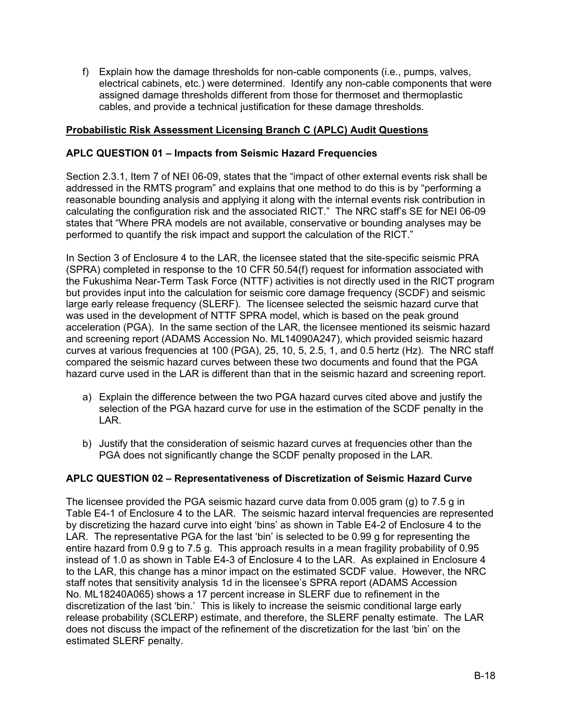f) Explain how the damage thresholds for non-cable components (i.e., pumps, valves, electrical cabinets, etc.) were determined. Identify any non-cable components that were assigned damage thresholds different from those for thermoset and thermoplastic cables, and provide a technical justification for these damage thresholds.

### **Probabilistic Risk Assessment Licensing Branch C (APLC) Audit Questions**

### **APLC QUESTION 01 – Impacts from Seismic Hazard Frequencies**

Section 2.3.1, Item 7 of NEI 06-09, states that the "impact of other external events risk shall be addressed in the RMTS program" and explains that one method to do this is by "performing a reasonable bounding analysis and applying it along with the internal events risk contribution in calculating the configuration risk and the associated RICT." The NRC staff's SE for NEI 06-09 states that "Where PRA models are not available, conservative or bounding analyses may be performed to quantify the risk impact and support the calculation of the RICT."

In Section 3 of Enclosure 4 to the LAR, the licensee stated that the site-specific seismic PRA (SPRA) completed in response to the 10 CFR 50.54(f) request for information associated with the Fukushima Near-Term Task Force (NTTF) activities is not directly used in the RICT program but provides input into the calculation for seismic core damage frequency (SCDF) and seismic large early release frequency (SLERF). The licensee selected the seismic hazard curve that was used in the development of NTTF SPRA model, which is based on the peak ground acceleration (PGA). In the same section of the LAR, the licensee mentioned its seismic hazard and screening report (ADAMS Accession No. ML14090A247), which provided seismic hazard curves at various frequencies at 100 (PGA), 25, 10, 5, 2.5, 1, and 0.5 hertz (Hz). The NRC staff compared the seismic hazard curves between these two documents and found that the PGA hazard curve used in the LAR is different than that in the seismic hazard and screening report.

- a) Explain the difference between the two PGA hazard curves cited above and justify the selection of the PGA hazard curve for use in the estimation of the SCDF penalty in the LAR.
- b) Justify that the consideration of seismic hazard curves at frequencies other than the PGA does not significantly change the SCDF penalty proposed in the LAR.

### **APLC QUESTION 02 – Representativeness of Discretization of Seismic Hazard Curve**

The licensee provided the PGA seismic hazard curve data from 0.005 gram (g) to 7.5 g in Table E4-1 of Enclosure 4 to the LAR. The seismic hazard interval frequencies are represented by discretizing the hazard curve into eight 'bins' as shown in Table E4-2 of Enclosure 4 to the LAR. The representative PGA for the last 'bin' is selected to be 0.99 g for representing the entire hazard from 0.9 g to 7.5 g. This approach results in a mean fragility probability of 0.95 instead of 1.0 as shown in Table E4-3 of Enclosure 4 to the LAR. As explained in Enclosure 4 to the LAR, this change has a minor impact on the estimated SCDF value. However, the NRC staff notes that sensitivity analysis 1d in the licensee's SPRA report (ADAMS Accession No. ML18240A065) shows a 17 percent increase in SLERF due to refinement in the discretization of the last 'bin.' This is likely to increase the seismic conditional large early release probability (SCLERP) estimate, and therefore, the SLERF penalty estimate. The LAR does not discuss the impact of the refinement of the discretization for the last 'bin' on the estimated SLERF penalty.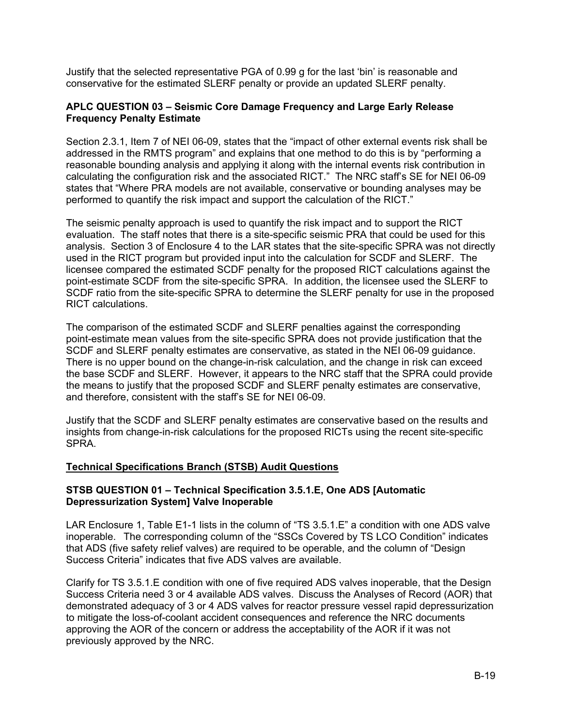Justify that the selected representative PGA of 0.99 g for the last 'bin' is reasonable and conservative for the estimated SLERF penalty or provide an updated SLERF penalty.

### **APLC QUESTION 03 – Seismic Core Damage Frequency and Large Early Release Frequency Penalty Estimate**

Section 2.3.1, Item 7 of NEI 06-09, states that the "impact of other external events risk shall be addressed in the RMTS program" and explains that one method to do this is by "performing a reasonable bounding analysis and applying it along with the internal events risk contribution in calculating the configuration risk and the associated RICT." The NRC staff's SE for NEI 06-09 states that "Where PRA models are not available, conservative or bounding analyses may be performed to quantify the risk impact and support the calculation of the RICT."

The seismic penalty approach is used to quantify the risk impact and to support the RICT evaluation. The staff notes that there is a site-specific seismic PRA that could be used for this analysis. Section 3 of Enclosure 4 to the LAR states that the site-specific SPRA was not directly used in the RICT program but provided input into the calculation for SCDF and SLERF. The licensee compared the estimated SCDF penalty for the proposed RICT calculations against the point-estimate SCDF from the site-specific SPRA. In addition, the licensee used the SLERF to SCDF ratio from the site-specific SPRA to determine the SLERF penalty for use in the proposed RICT calculations.

The comparison of the estimated SCDF and SLERF penalties against the corresponding point-estimate mean values from the site-specific SPRA does not provide justification that the SCDF and SLERF penalty estimates are conservative, as stated in the NEI 06-09 guidance. There is no upper bound on the change-in-risk calculation, and the change in risk can exceed the base SCDF and SLERF. However, it appears to the NRC staff that the SPRA could provide the means to justify that the proposed SCDF and SLERF penalty estimates are conservative, and therefore, consistent with the staff's SE for NEI 06-09.

Justify that the SCDF and SLERF penalty estimates are conservative based on the results and insights from change-in-risk calculations for the proposed RICTs using the recent site-specific SPRA.

### **Technical Specifications Branch (STSB) Audit Questions**

#### **STSB QUESTION 01 – Technical Specification 3.5.1.E, One ADS [Automatic Depressurization System] Valve Inoperable**

LAR Enclosure 1, Table E1-1 lists in the column of "TS 3.5.1.E" a condition with one ADS valve inoperable. The corresponding column of the "SSCs Covered by TS LCO Condition" indicates that ADS (five safety relief valves) are required to be operable, and the column of "Design Success Criteria" indicates that five ADS valves are available.

Clarify for TS 3.5.1.E condition with one of five required ADS valves inoperable, that the Design Success Criteria need 3 or 4 available ADS valves. Discuss the Analyses of Record (AOR) that demonstrated adequacy of 3 or 4 ADS valves for reactor pressure vessel rapid depressurization to mitigate the loss-of-coolant accident consequences and reference the NRC documents approving the AOR of the concern or address the acceptability of the AOR if it was not previously approved by the NRC.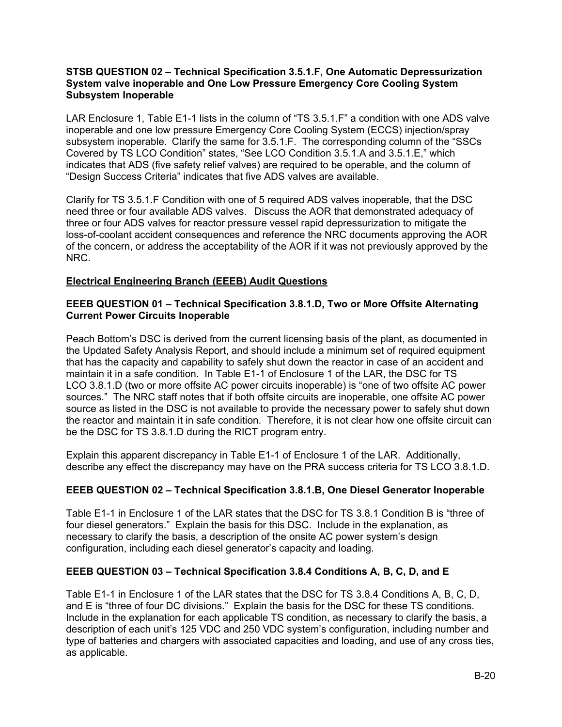#### **STSB QUESTION 02 – Technical Specification 3.5.1.F, One Automatic Depressurization System valve inoperable and One Low Pressure Emergency Core Cooling System Subsystem Inoperable**

LAR Enclosure 1, Table E1-1 lists in the column of "TS 3.5.1.F" a condition with one ADS valve inoperable and one low pressure Emergency Core Cooling System (ECCS) injection/spray subsystem inoperable. Clarify the same for 3.5.1.F. The corresponding column of the "SSCs Covered by TS LCO Condition" states, "See LCO Condition 3.5.1.A and 3.5.1.E," which indicates that ADS (five safety relief valves) are required to be operable, and the column of "Design Success Criteria" indicates that five ADS valves are available.

Clarify for TS 3.5.1.F Condition with one of 5 required ADS valves inoperable, that the DSC need three or four available ADS valves. Discuss the AOR that demonstrated adequacy of three or four ADS valves for reactor pressure vessel rapid depressurization to mitigate the loss-of-coolant accident consequences and reference the NRC documents approving the AOR of the concern, or address the acceptability of the AOR if it was not previously approved by the NRC.

### **Electrical Engineering Branch (EEEB) Audit Questions**

### **EEEB QUESTION 01 – Technical Specification 3.8.1.D, Two or More Offsite Alternating Current Power Circuits Inoperable**

Peach Bottom's DSC is derived from the current licensing basis of the plant, as documented in the Updated Safety Analysis Report, and should include a minimum set of required equipment that has the capacity and capability to safely shut down the reactor in case of an accident and maintain it in a safe condition. In Table E1-1 of Enclosure 1 of the LAR, the DSC for TS LCO 3.8.1.D (two or more offsite AC power circuits inoperable) is "one of two offsite AC power sources." The NRC staff notes that if both offsite circuits are inoperable, one offsite AC power source as listed in the DSC is not available to provide the necessary power to safely shut down the reactor and maintain it in safe condition. Therefore, it is not clear how one offsite circuit can be the DSC for TS 3.8.1.D during the RICT program entry.

Explain this apparent discrepancy in Table E1-1 of Enclosure 1 of the LAR. Additionally, describe any effect the discrepancy may have on the PRA success criteria for TS LCO 3.8.1.D.

## **EEEB QUESTION 02 – Technical Specification 3.8.1.B, One Diesel Generator Inoperable**

Table E1-1 in Enclosure 1 of the LAR states that the DSC for TS 3.8.1 Condition B is "three of four diesel generators." Explain the basis for this DSC. Include in the explanation, as necessary to clarify the basis, a description of the onsite AC power system's design configuration, including each diesel generator's capacity and loading.

### **EEEB QUESTION 03 – Technical Specification 3.8.4 Conditions A, B, C, D, and E**

Table E1-1 in Enclosure 1 of the LAR states that the DSC for TS 3.8.4 Conditions A, B, C, D, and E is "three of four DC divisions." Explain the basis for the DSC for these TS conditions. Include in the explanation for each applicable TS condition, as necessary to clarify the basis, a description of each unit's 125 VDC and 250 VDC system's configuration, including number and type of batteries and chargers with associated capacities and loading, and use of any cross ties, as applicable.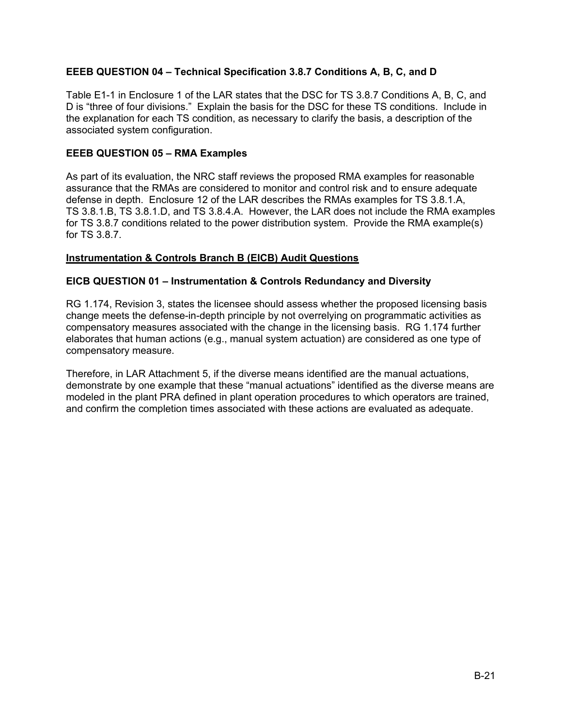### **EEEB QUESTION 04 – Technical Specification 3.8.7 Conditions A, B, C, and D**

Table E1-1 in Enclosure 1 of the LAR states that the DSC for TS 3.8.7 Conditions A, B, C, and D is "three of four divisions." Explain the basis for the DSC for these TS conditions. Include in the explanation for each TS condition, as necessary to clarify the basis, a description of the associated system configuration.

#### **EEEB QUESTION 05 – RMA Examples**

As part of its evaluation, the NRC staff reviews the proposed RMA examples for reasonable assurance that the RMAs are considered to monitor and control risk and to ensure adequate defense in depth. Enclosure 12 of the LAR describes the RMAs examples for TS 3.8.1.A, TS 3.8.1.B, TS 3.8.1.D, and TS 3.8.4.A. However, the LAR does not include the RMA examples for TS 3.8.7 conditions related to the power distribution system. Provide the RMA example(s) for TS 3.8.7.

#### **Instrumentation & Controls Branch B (EICB) Audit Questions**

#### **EICB QUESTION 01 – Instrumentation & Controls Redundancy and Diversity**

RG 1.174, Revision 3, states the licensee should assess whether the proposed licensing basis change meets the defense-in-depth principle by not overrelying on programmatic activities as compensatory measures associated with the change in the licensing basis. RG 1.174 further elaborates that human actions (e.g., manual system actuation) are considered as one type of compensatory measure.

Therefore, in LAR Attachment 5, if the diverse means identified are the manual actuations, demonstrate by one example that these "manual actuations" identified as the diverse means are modeled in the plant PRA defined in plant operation procedures to which operators are trained, and confirm the completion times associated with these actions are evaluated as adequate.